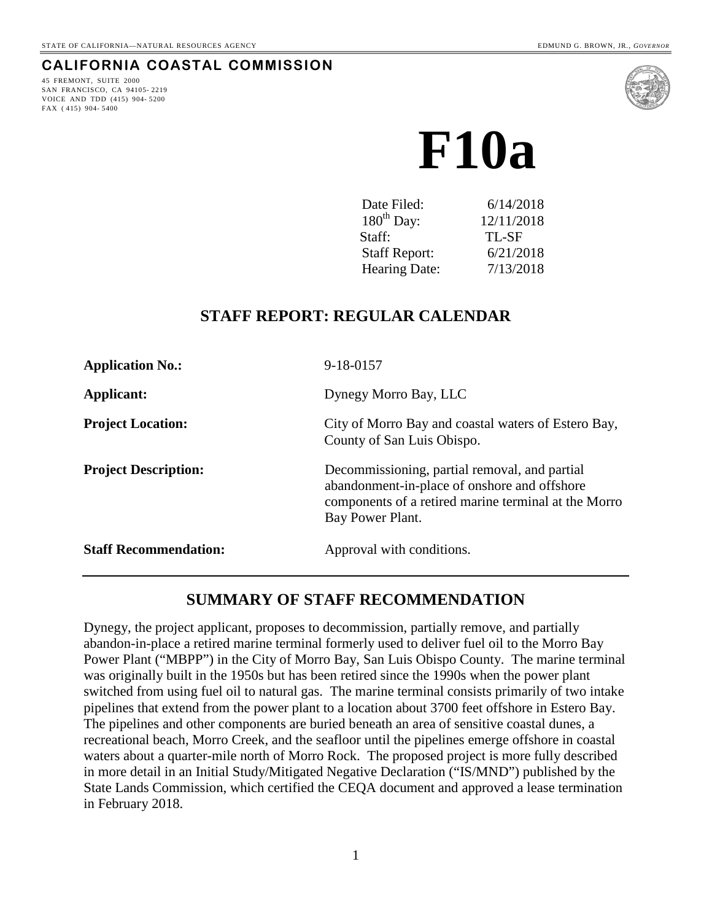## **CALIFORNIA COASTAL COMMISSION**

45 FREMONT, SUITE 2000 SAN FRANCISCO, CA 94105- 2219 VOICE AND TDD (415) 904- 5200 FAX ( 415) 904- 5400



**F10a** 

| Date Filed:          | 6/14/2018  |
|----------------------|------------|
| $180th$ Day:         | 12/11/2018 |
| Staff:               | TL-SF      |
| <b>Staff Report:</b> | 6/21/2018  |
| Hearing Date:        | 7/13/2018  |

## **STAFF REPORT: REGULAR CALENDAR**

| <b>Application No.:</b>      | 9-18-0157                                                                                                                                                                 |  |  |
|------------------------------|---------------------------------------------------------------------------------------------------------------------------------------------------------------------------|--|--|
| Applicant:                   | Dynegy Morro Bay, LLC                                                                                                                                                     |  |  |
| <b>Project Location:</b>     | City of Morro Bay and coastal waters of Estero Bay,<br>County of San Luis Obispo.                                                                                         |  |  |
| <b>Project Description:</b>  | Decommissioning, partial removal, and partial<br>abandonment-in-place of onshore and offshore<br>components of a retired marine terminal at the Morro<br>Bay Power Plant. |  |  |
| <b>Staff Recommendation:</b> | Approval with conditions.                                                                                                                                                 |  |  |

# **SUMMARY OF STAFF RECOMMENDATION**

Dynegy, the project applicant, proposes to decommission, partially remove, and partially abandon-in-place a retired marine terminal formerly used to deliver fuel oil to the Morro Bay Power Plant ("MBPP") in the City of Morro Bay, San Luis Obispo County. The marine terminal was originally built in the 1950s but has been retired since the 1990s when the power plant switched from using fuel oil to natural gas. The marine terminal consists primarily of two intake pipelines that extend from the power plant to a location about 3700 feet offshore in Estero Bay. The pipelines and other components are buried beneath an area of sensitive coastal dunes, a recreational beach, Morro Creek, and the seafloor until the pipelines emerge offshore in coastal waters about a quarter-mile north of Morro Rock. The proposed project is more fully described in more detail in an Initial Study/Mitigated Negative Declaration ("IS/MND") published by the State Lands Commission, which certified the CEQA document and approved a lease termination in February 2018.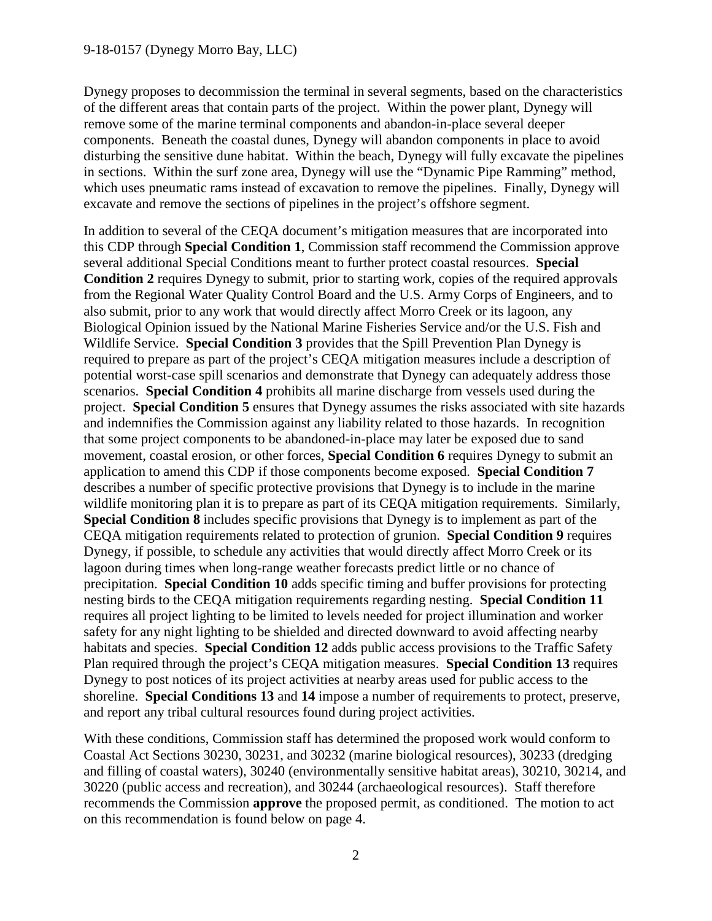Dynegy proposes to decommission the terminal in several segments, based on the characteristics of the different areas that contain parts of the project. Within the power plant, Dynegy will remove some of the marine terminal components and abandon-in-place several deeper components. Beneath the coastal dunes, Dynegy will abandon components in place to avoid disturbing the sensitive dune habitat. Within the beach, Dynegy will fully excavate the pipelines in sections. Within the surf zone area, Dynegy will use the "Dynamic Pipe Ramming" method, which uses pneumatic rams instead of excavation to remove the pipelines. Finally, Dynegy will excavate and remove the sections of pipelines in the project's offshore segment.

In addition to several of the CEQA document's mitigation measures that are incorporated into this CDP through **Special Condition 1**, Commission staff recommend the Commission approve several additional Special Conditions meant to further protect coastal resources. **Special Condition 2** requires Dynegy to submit, prior to starting work, copies of the required approvals from the Regional Water Quality Control Board and the U.S. Army Corps of Engineers, and to also submit, prior to any work that would directly affect Morro Creek or its lagoon, any Biological Opinion issued by the National Marine Fisheries Service and/or the U.S. Fish and Wildlife Service. **Special Condition 3** provides that the Spill Prevention Plan Dynegy is required to prepare as part of the project's CEQA mitigation measures include a description of potential worst-case spill scenarios and demonstrate that Dynegy can adequately address those scenarios. **Special Condition 4** prohibits all marine discharge from vessels used during the project. **Special Condition 5** ensures that Dynegy assumes the risks associated with site hazards and indemnifies the Commission against any liability related to those hazards. In recognition that some project components to be abandoned-in-place may later be exposed due to sand movement, coastal erosion, or other forces, **Special Condition 6** requires Dynegy to submit an application to amend this CDP if those components become exposed. **Special Condition 7** describes a number of specific protective provisions that Dynegy is to include in the marine wildlife monitoring plan it is to prepare as part of its CEQA mitigation requirements. Similarly, **Special Condition 8** includes specific provisions that Dynegy is to implement as part of the CEQA mitigation requirements related to protection of grunion. **Special Condition 9** requires Dynegy, if possible, to schedule any activities that would directly affect Morro Creek or its lagoon during times when long-range weather forecasts predict little or no chance of precipitation. **Special Condition 10** adds specific timing and buffer provisions for protecting nesting birds to the CEQA mitigation requirements regarding nesting. **Special Condition 11** requires all project lighting to be limited to levels needed for project illumination and worker safety for any night lighting to be shielded and directed downward to avoid affecting nearby habitats and species. **Special Condition 12** adds public access provisions to the Traffic Safety Plan required through the project's CEQA mitigation measures. **Special Condition 13** requires Dynegy to post notices of its project activities at nearby areas used for public access to the shoreline. **Special Conditions 13** and **14** impose a number of requirements to protect, preserve, and report any tribal cultural resources found during project activities.

With these conditions, Commission staff has determined the proposed work would conform to Coastal Act Sections 30230, 30231, and 30232 (marine biological resources), 30233 (dredging and filling of coastal waters), 30240 (environmentally sensitive habitat areas), 30210, 30214, and 30220 (public access and recreation), and 30244 (archaeological resources). Staff therefore recommends the Commission **approve** the proposed permit, as conditioned. The motion to act on this recommendation is found below on page 4.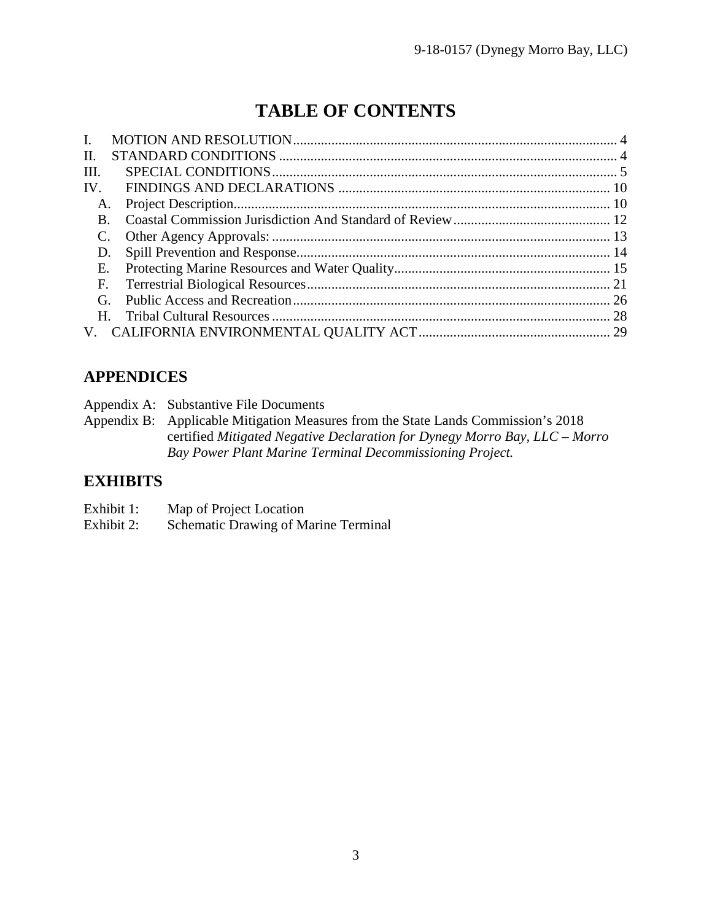# **TABLE OF CONTENTS**

| $\mathbf{L}$ |             |  |
|--------------|-------------|--|
| II.          |             |  |
| III.         |             |  |
| IV.          |             |  |
| A.           |             |  |
| В.           |             |  |
|              |             |  |
|              |             |  |
| Е.           |             |  |
| F.           |             |  |
| G.           |             |  |
|              | $H_{\cdot}$ |  |
|              |             |  |

# **APPENDICES**

|  | Appendix A: Substantive File Documents |
|--|----------------------------------------|
|--|----------------------------------------|

Appendix B: Applicable Mitigation Measures from the State Lands Commission's 2018 certified *Mitigated Negative Declaration for Dynegy Morro Bay, LLC – Morro Bay Power Plant Marine Terminal Decommissioning Project.*

# **EXHIBITS**

| Exhibit 1: | Map of Project Location |
|------------|-------------------------|
|------------|-------------------------|

Exhibit 2: Schematic Drawing of Marine Terminal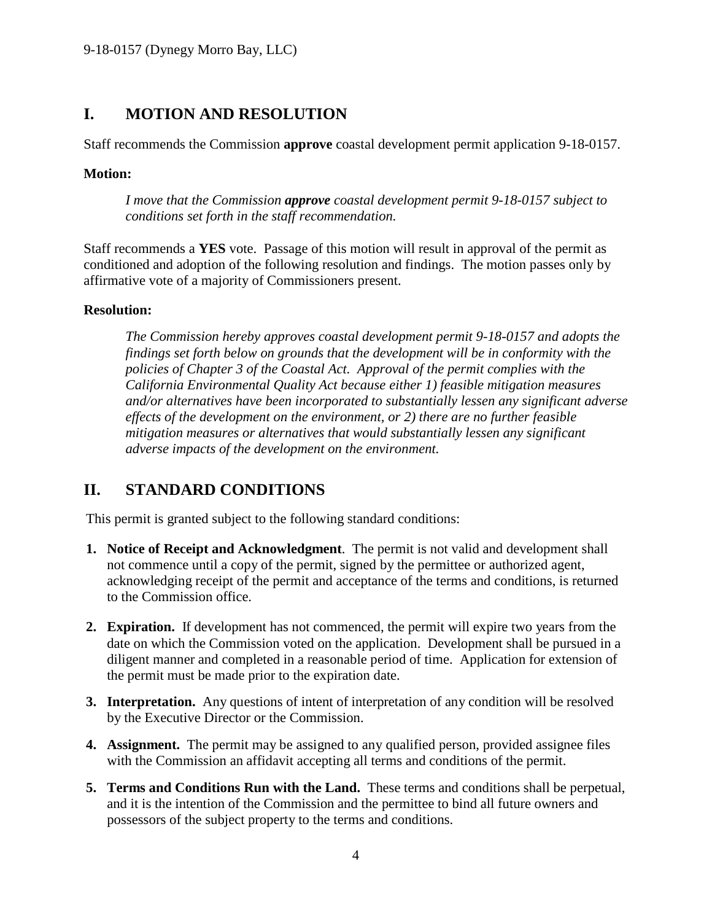# <span id="page-3-0"></span>**I. MOTION AND RESOLUTION**

Staff recommends the Commission **approve** coastal development permit application 9-18-0157.

## **Motion:**

*I move that the Commission approve coastal development permit 9-18-0157 subject to conditions set forth in the staff recommendation.*

Staff recommends a **YES** vote. Passage of this motion will result in approval of the permit as conditioned and adoption of the following resolution and findings. The motion passes only by affirmative vote of a majority of Commissioners present.

## **Resolution:**

*The Commission hereby approves coastal development permit 9-18-0157 and adopts the findings set forth below on grounds that the development will be in conformity with the policies of Chapter 3 of the Coastal Act. Approval of the permit complies with the California Environmental Quality Act because either 1) feasible mitigation measures and/or alternatives have been incorporated to substantially lessen any significant adverse effects of the development on the environment, or 2) there are no further feasible mitigation measures or alternatives that would substantially lessen any significant adverse impacts of the development on the environment.* 

# <span id="page-3-1"></span>**II. STANDARD CONDITIONS**

This permit is granted subject to the following standard conditions:

- **1. Notice of Receipt and Acknowledgment**. The permit is not valid and development shall not commence until a copy of the permit, signed by the permittee or authorized agent, acknowledging receipt of the permit and acceptance of the terms and conditions, is returned to the Commission office.
- **2. Expiration.** If development has not commenced, the permit will expire two years from the date on which the Commission voted on the application. Development shall be pursued in a diligent manner and completed in a reasonable period of time. Application for extension of the permit must be made prior to the expiration date.
- **3. Interpretation.** Any questions of intent of interpretation of any condition will be resolved by the Executive Director or the Commission.
- **4. Assignment.** The permit may be assigned to any qualified person, provided assignee files with the Commission an affidavit accepting all terms and conditions of the permit.
- **5. Terms and Conditions Run with the Land.** These terms and conditions shall be perpetual, and it is the intention of the Commission and the permittee to bind all future owners and possessors of the subject property to the terms and conditions.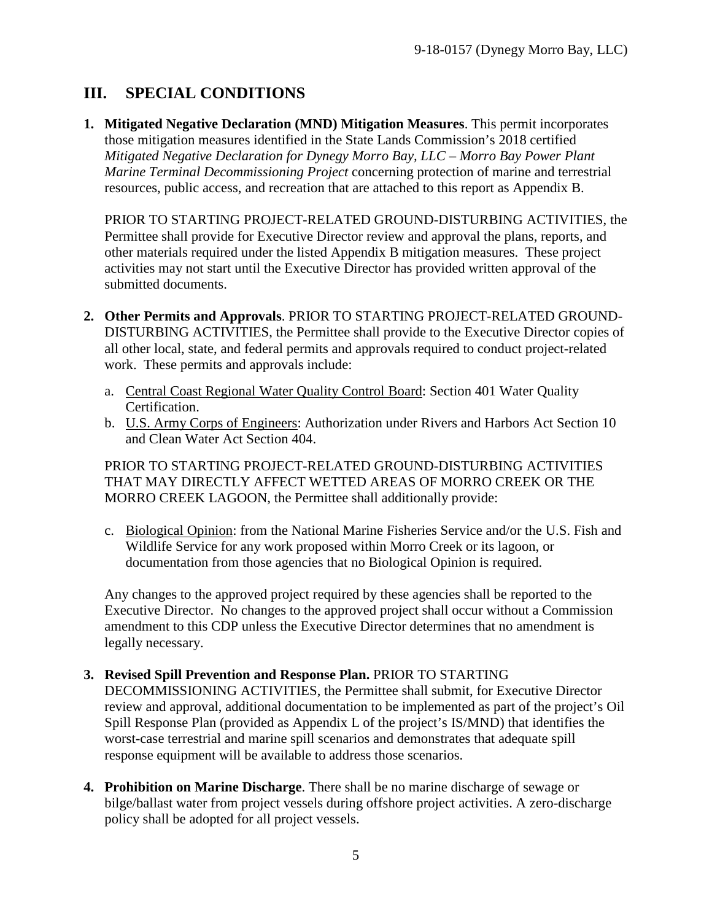# <span id="page-4-0"></span>**III. SPECIAL CONDITIONS**

<span id="page-4-1"></span>**1. Mitigated Negative Declaration (MND) Mitigation Measures**. This permit incorporates those mitigation measures identified in the State Lands Commission's 2018 certified *Mitigated Negative Declaration for Dynegy Morro Bay, LLC – Morro Bay Power Plant Marine Terminal Decommissioning Project* concerning protection of marine and terrestrial resources, public access, and recreation that are attached to this report as Appendix B.

PRIOR TO STARTING PROJECT-RELATED GROUND-DISTURBING ACTIVITIES, the Permittee shall provide for Executive Director review and approval the plans, reports, and other materials required under the listed Appendix B mitigation measures. These project activities may not start until the Executive Director has provided written approval of the submitted documents.

- <span id="page-4-2"></span>**2. Other Permits and Approvals**. PRIOR TO STARTING PROJECT-RELATED GROUND-DISTURBING ACTIVITIES, the Permittee shall provide to the Executive Director copies of all other local, state, and federal permits and approvals required to conduct project-related work. These permits and approvals include:
	- a. Central Coast Regional Water Quality Control Board: Section 401 Water Quality Certification.
	- b. U.S. Army Corps of Engineers: Authorization under Rivers and Harbors Act Section 10 and Clean Water Act Section 404.

PRIOR TO STARTING PROJECT-RELATED GROUND-DISTURBING ACTIVITIES THAT MAY DIRECTLY AFFECT WETTED AREAS OF MORRO CREEK OR THE MORRO CREEK LAGOON, the Permittee shall additionally provide:

c. Biological Opinion: from the National Marine Fisheries Service and/or the U.S. Fish and Wildlife Service for any work proposed within Morro Creek or its lagoon, or documentation from those agencies that no Biological Opinion is required.

Any changes to the approved project required by these agencies shall be reported to the Executive Director. No changes to the approved project shall occur without a Commission amendment to this CDP unless the Executive Director determines that no amendment is legally necessary.

<span id="page-4-3"></span>**3. Revised Spill Prevention and Response Plan.** PRIOR TO STARTING DECOMMISSIONING ACTIVITIES, the Permittee shall submit, for Executive Director

review and approval, additional documentation to be implemented as part of the project's Oil Spill Response Plan (provided as Appendix L of the project's IS/MND) that identifies the worst-case terrestrial and marine spill scenarios and demonstrates that adequate spill response equipment will be available to address those scenarios.

<span id="page-4-4"></span>**4. Prohibition on Marine Discharge**. There shall be no marine discharge of sewage or bilge/ballast water from project vessels during offshore project activities. A zero-discharge policy shall be adopted for all project vessels.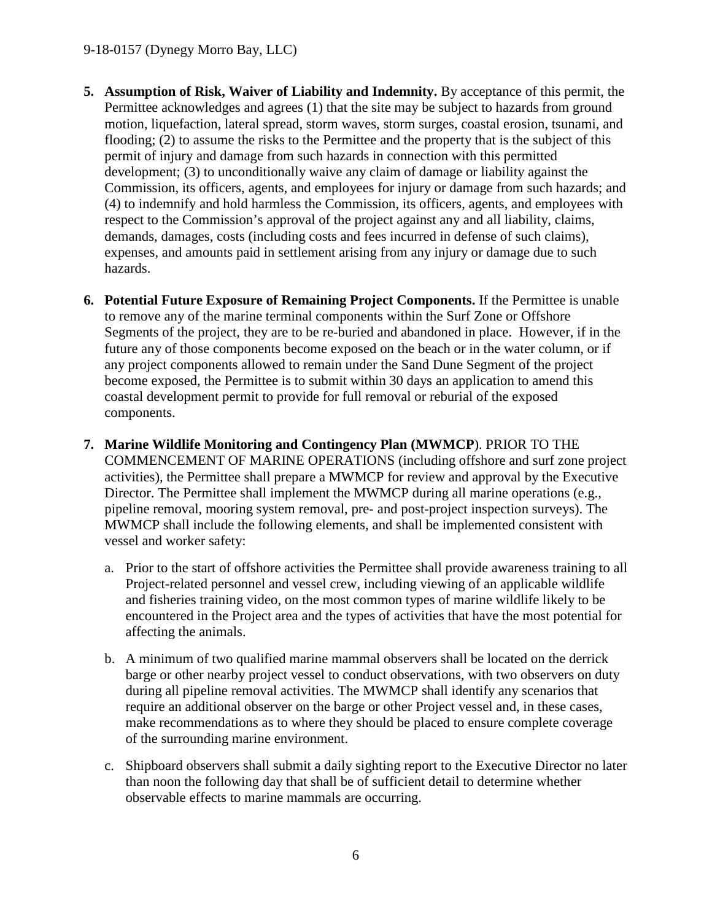- <span id="page-5-0"></span>**5. Assumption of Risk, Waiver of Liability and Indemnity.** By acceptance of this permit, the Permittee acknowledges and agrees (1) that the site may be subject to hazards from ground motion, liquefaction, lateral spread, storm waves, storm surges, coastal erosion, tsunami, and flooding; (2) to assume the risks to the Permittee and the property that is the subject of this permit of injury and damage from such hazards in connection with this permitted development; (3) to unconditionally waive any claim of damage or liability against the Commission, its officers, agents, and employees for injury or damage from such hazards; and (4) to indemnify and hold harmless the Commission, its officers, agents, and employees with respect to the Commission's approval of the project against any and all liability, claims, demands, damages, costs (including costs and fees incurred in defense of such claims), expenses, and amounts paid in settlement arising from any injury or damage due to such hazards.
- <span id="page-5-1"></span>**6. Potential Future Exposure of Remaining Project Components.** If the Permittee is unable to remove any of the marine terminal components within the Surf Zone or Offshore Segments of the project, they are to be re-buried and abandoned in place. However, if in the future any of those components become exposed on the beach or in the water column, or if any project components allowed to remain under the Sand Dune Segment of the project become exposed, the Permittee is to submit within 30 days an application to amend this coastal development permit to provide for full removal or reburial of the exposed components.
- <span id="page-5-2"></span>**7. Marine Wildlife Monitoring and Contingency Plan (MWMCP**). PRIOR TO THE COMMENCEMENT OF MARINE OPERATIONS (including offshore and surf zone project activities), the Permittee shall prepare a MWMCP for review and approval by the Executive Director. The Permittee shall implement the MWMCP during all marine operations (e.g., pipeline removal, mooring system removal, pre- and post-project inspection surveys). The MWMCP shall include the following elements, and shall be implemented consistent with vessel and worker safety:
	- a. Prior to the start of offshore activities the Permittee shall provide awareness training to all Project-related personnel and vessel crew, including viewing of an applicable wildlife and fisheries training video, on the most common types of marine wildlife likely to be encountered in the Project area and the types of activities that have the most potential for affecting the animals.
	- b. A minimum of two qualified marine mammal observers shall be located on the derrick barge or other nearby project vessel to conduct observations, with two observers on duty during all pipeline removal activities. The MWMCP shall identify any scenarios that require an additional observer on the barge or other Project vessel and, in these cases, make recommendations as to where they should be placed to ensure complete coverage of the surrounding marine environment.
	- c. Shipboard observers shall submit a daily sighting report to the Executive Director no later than noon the following day that shall be of sufficient detail to determine whether observable effects to marine mammals are occurring.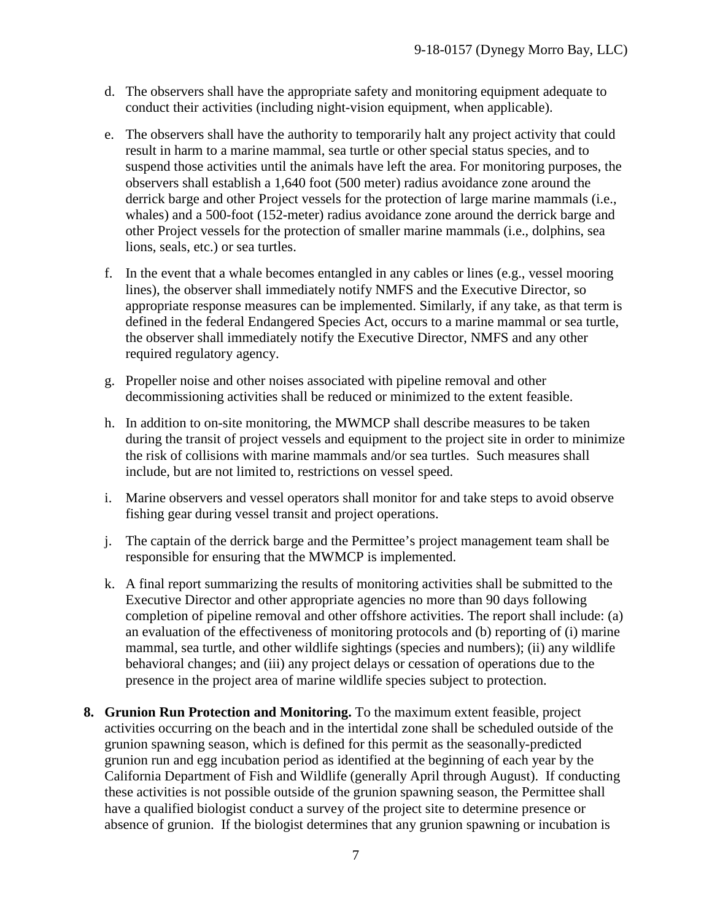- d. The observers shall have the appropriate safety and monitoring equipment adequate to conduct their activities (including night-vision equipment, when applicable).
- e. The observers shall have the authority to temporarily halt any project activity that could result in harm to a marine mammal, sea turtle or other special status species, and to suspend those activities until the animals have left the area. For monitoring purposes, the observers shall establish a 1,640 foot (500 meter) radius avoidance zone around the derrick barge and other Project vessels for the protection of large marine mammals (i.e., whales) and a 500-foot (152-meter) radius avoidance zone around the derrick barge and other Project vessels for the protection of smaller marine mammals (i.e., dolphins, sea lions, seals, etc.) or sea turtles.
- f. In the event that a whale becomes entangled in any cables or lines (e.g., vessel mooring lines), the observer shall immediately notify NMFS and the Executive Director, so appropriate response measures can be implemented. Similarly, if any take, as that term is defined in the federal Endangered Species Act, occurs to a marine mammal or sea turtle, the observer shall immediately notify the Executive Director, NMFS and any other required regulatory agency.
- g. Propeller noise and other noises associated with pipeline removal and other decommissioning activities shall be reduced or minimized to the extent feasible.
- h. In addition to on-site monitoring, the MWMCP shall describe measures to be taken during the transit of project vessels and equipment to the project site in order to minimize the risk of collisions with marine mammals and/or sea turtles. Such measures shall include, but are not limited to, restrictions on vessel speed.
- i. Marine observers and vessel operators shall monitor for and take steps to avoid observe fishing gear during vessel transit and project operations.
- j. The captain of the derrick barge and the Permittee's project management team shall be responsible for ensuring that the MWMCP is implemented.
- k. A final report summarizing the results of monitoring activities shall be submitted to the Executive Director and other appropriate agencies no more than 90 days following completion of pipeline removal and other offshore activities. The report shall include: (a) an evaluation of the effectiveness of monitoring protocols and (b) reporting of (i) marine mammal, sea turtle, and other wildlife sightings (species and numbers); (ii) any wildlife behavioral changes; and (iii) any project delays or cessation of operations due to the presence in the project area of marine wildlife species subject to protection.
- <span id="page-6-0"></span>**8. Grunion Run Protection and Monitoring.** To the maximum extent feasible, project activities occurring on the beach and in the intertidal zone shall be scheduled outside of the grunion spawning season, which is defined for this permit as the seasonally-predicted grunion run and egg incubation period as identified at the beginning of each year by the California Department of Fish and Wildlife (generally April through August). If conducting these activities is not possible outside of the grunion spawning season, the Permittee shall have a qualified biologist conduct a survey of the project site to determine presence or absence of grunion. If the biologist determines that any grunion spawning or incubation is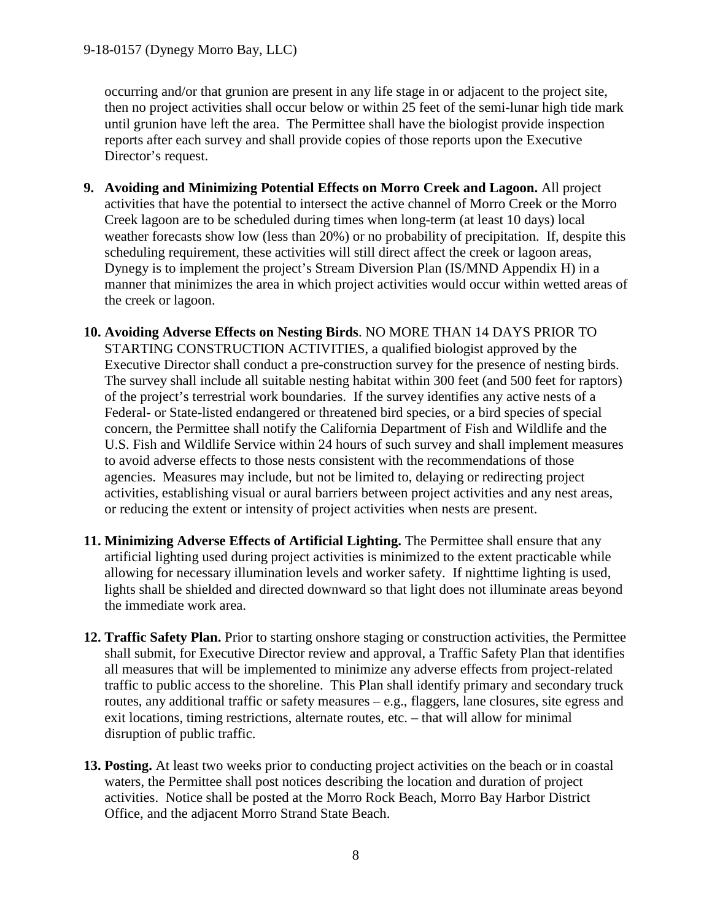occurring and/or that grunion are present in any life stage in or adjacent to the project site, then no project activities shall occur below or within 25 feet of the semi-lunar high tide mark until grunion have left the area. The Permittee shall have the biologist provide inspection reports after each survey and shall provide copies of those reports upon the Executive Director's request.

- <span id="page-7-0"></span>**9. Avoiding and Minimizing Potential Effects on Morro Creek and Lagoon.** All project activities that have the potential to intersect the active channel of Morro Creek or the Morro Creek lagoon are to be scheduled during times when long-term (at least 10 days) local weather forecasts show low (less than 20%) or no probability of precipitation. If, despite this scheduling requirement, these activities will still direct affect the creek or lagoon areas, Dynegy is to implement the project's Stream Diversion Plan (IS/MND Appendix H) in a manner that minimizes the area in which project activities would occur within wetted areas of the creek or lagoon.
- <span id="page-7-1"></span>**10. Avoiding Adverse Effects on Nesting Birds**. NO MORE THAN 14 DAYS PRIOR TO STARTING CONSTRUCTION ACTIVITIES, a qualified biologist approved by the Executive Director shall conduct a pre-construction survey for the presence of nesting birds. The survey shall include all suitable nesting habitat within 300 feet (and 500 feet for raptors) of the project's terrestrial work boundaries. If the survey identifies any active nests of a Federal- or State-listed endangered or threatened bird species, or a bird species of special concern, the Permittee shall notify the California Department of Fish and Wildlife and the U.S. Fish and Wildlife Service within 24 hours of such survey and shall implement measures to avoid adverse effects to those nests consistent with the recommendations of those agencies. Measures may include, but not be limited to, delaying or redirecting project activities, establishing visual or aural barriers between project activities and any nest areas, or reducing the extent or intensity of project activities when nests are present.
- <span id="page-7-2"></span>**11. Minimizing Adverse Effects of Artificial Lighting.** The Permittee shall ensure that any artificial lighting used during project activities is minimized to the extent practicable while allowing for necessary illumination levels and worker safety. If nighttime lighting is used, lights shall be shielded and directed downward so that light does not illuminate areas beyond the immediate work area.
- <span id="page-7-3"></span>**12. Traffic Safety Plan.** Prior to starting onshore staging or construction activities, the Permittee shall submit, for Executive Director review and approval, a Traffic Safety Plan that identifies all measures that will be implemented to minimize any adverse effects from project-related traffic to public access to the shoreline. This Plan shall identify primary and secondary truck routes, any additional traffic or safety measures – e.g., flaggers, lane closures, site egress and exit locations, timing restrictions, alternate routes, etc. – that will allow for minimal disruption of public traffic.
- <span id="page-7-4"></span>**13. Posting.** At least two weeks prior to conducting project activities on the beach or in coastal waters, the Permittee shall post notices describing the location and duration of project activities. Notice shall be posted at the Morro Rock Beach, Morro Bay Harbor District Office, and the adjacent Morro Strand State Beach.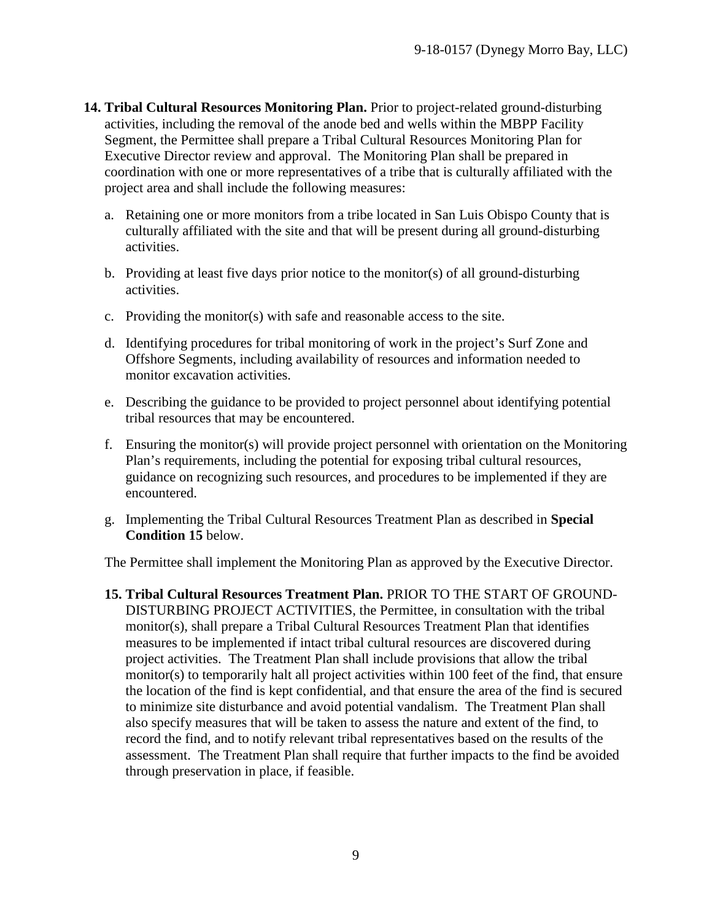- <span id="page-8-0"></span>**14. Tribal Cultural Resources Monitoring Plan.** Prior to project-related ground-disturbing activities, including the removal of the anode bed and wells within the MBPP Facility Segment, the Permittee shall prepare a Tribal Cultural Resources Monitoring Plan for Executive Director review and approval. The Monitoring Plan shall be prepared in coordination with one or more representatives of a tribe that is culturally affiliated with the project area and shall include the following measures:
	- a. Retaining one or more monitors from a tribe located in San Luis Obispo County that is culturally affiliated with the site and that will be present during all ground-disturbing activities.
	- b. Providing at least five days prior notice to the monitor(s) of all ground-disturbing activities.
	- c. Providing the monitor(s) with safe and reasonable access to the site.
	- d. Identifying procedures for tribal monitoring of work in the project's Surf Zone and Offshore Segments, including availability of resources and information needed to monitor excavation activities.
	- e. Describing the guidance to be provided to project personnel about identifying potential tribal resources that may be encountered.
	- f. Ensuring the monitor(s) will provide project personnel with orientation on the Monitoring Plan's requirements, including the potential for exposing tribal cultural resources, guidance on recognizing such resources, and procedures to be implemented if they are encountered.
	- g. Implementing the Tribal Cultural Resources Treatment Plan as described in **Special Condition 15** below.

The Permittee shall implement the Monitoring Plan as approved by the Executive Director.

<span id="page-8-1"></span>**15. Tribal Cultural Resources Treatment Plan.** PRIOR TO THE START OF GROUND-DISTURBING PROJECT ACTIVITIES, the Permittee, in consultation with the tribal monitor(s), shall prepare a Tribal Cultural Resources Treatment Plan that identifies measures to be implemented if intact tribal cultural resources are discovered during project activities. The Treatment Plan shall include provisions that allow the tribal monitor(s) to temporarily halt all project activities within 100 feet of the find, that ensure the location of the find is kept confidential, and that ensure the area of the find is secured to minimize site disturbance and avoid potential vandalism. The Treatment Plan shall also specify measures that will be taken to assess the nature and extent of the find, to record the find, and to notify relevant tribal representatives based on the results of the assessment. The Treatment Plan shall require that further impacts to the find be avoided through preservation in place, if feasible.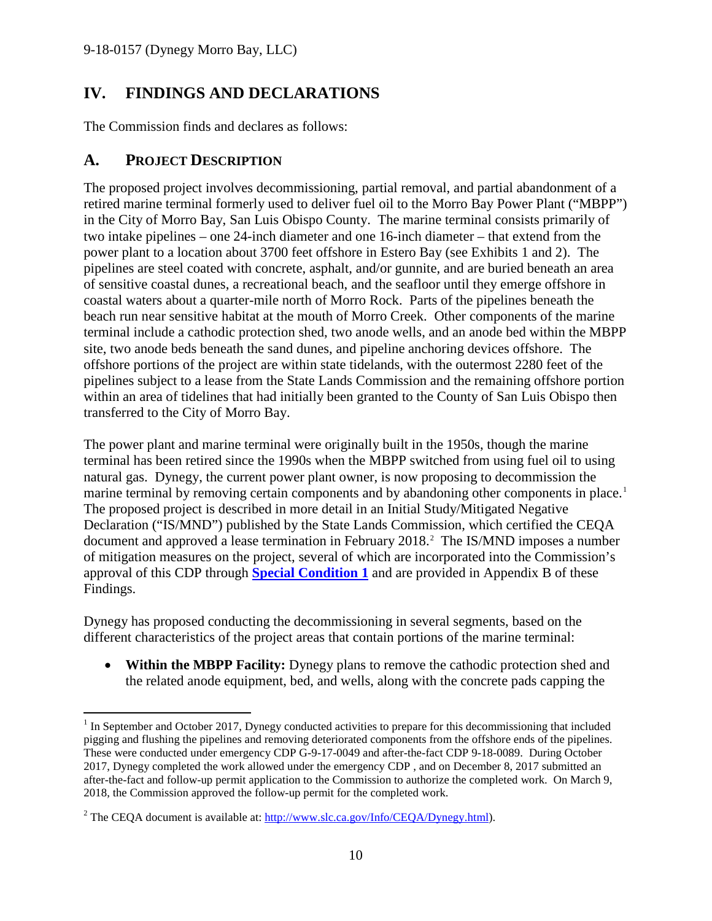# <span id="page-9-0"></span>**IV. FINDINGS AND DECLARATIONS**

The Commission finds and declares as follows:

## <span id="page-9-1"></span>**A. PROJECT DESCRIPTION**

The proposed project involves decommissioning, partial removal, and partial abandonment of a retired marine terminal formerly used to deliver fuel oil to the Morro Bay Power Plant ("MBPP") in the City of Morro Bay, San Luis Obispo County. The marine terminal consists primarily of two intake pipelines – one 24-inch diameter and one 16-inch diameter – that extend from the power plant to a location about 3700 feet offshore in Estero Bay (see Exhibits 1 and 2). The pipelines are steel coated with concrete, asphalt, and/or gunnite, and are buried beneath an area of sensitive coastal dunes, a recreational beach, and the seafloor until they emerge offshore in coastal waters about a quarter-mile north of Morro Rock. Parts of the pipelines beneath the beach run near sensitive habitat at the mouth of Morro Creek. Other components of the marine terminal include a cathodic protection shed, two anode wells, and an anode bed within the MBPP site, two anode beds beneath the sand dunes, and pipeline anchoring devices offshore. The offshore portions of the project are within state tidelands, with the outermost 2280 feet of the pipelines subject to a lease from the State Lands Commission and the remaining offshore portion within an area of tidelines that had initially been granted to the County of San Luis Obispo then transferred to the City of Morro Bay.

The power plant and marine terminal were originally built in the 1950s, though the marine terminal has been retired since the 1990s when the MBPP switched from using fuel oil to using natural gas. Dynegy, the current power plant owner, is now proposing to decommission the marine terminal by removing certain components and by abandoning other components in place.<sup>[1](#page-9-2)</sup> The proposed project is described in more detail in an Initial Study/Mitigated Negative Declaration ("IS/MND") published by the State Lands Commission, which certified the CEQA document and approved a lease termination in February [2](#page-9-3)018.<sup>2</sup> The IS/MND imposes a number of mitigation measures on the project, several of which are incorporated into the Commission's approval of this CDP through **[Special Condition 1](#page-4-1)** and are provided in Appendix B of these Findings.

Dynegy has proposed conducting the decommissioning in several segments, based on the different characteristics of the project areas that contain portions of the marine terminal:

• **Within the MBPP Facility:** Dynegy plans to remove the cathodic protection shed and the related anode equipment, bed, and wells, along with the concrete pads capping the

<span id="page-9-2"></span> $\overline{a}$ <sup>1</sup> In September and October 2017, Dynegy conducted activities to prepare for this decommissioning that included pigging and flushing the pipelines and removing deteriorated components from the offshore ends of the pipelines. These were conducted under emergency CDP G-9-17-0049 and after-the-fact CDP 9-18-0089. During October 2017, Dynegy completed the work allowed under the emergency CDP , and on December 8, 2017 submitted an after-the-fact and follow-up permit application to the Commission to authorize the completed work. On March 9, 2018, the Commission approved the follow-up permit for the completed work.

<span id="page-9-3"></span><sup>&</sup>lt;sup>2</sup> The CEOA document is available at: http://www.slc.ca.gov/Info/CEOA/Dynegy.html).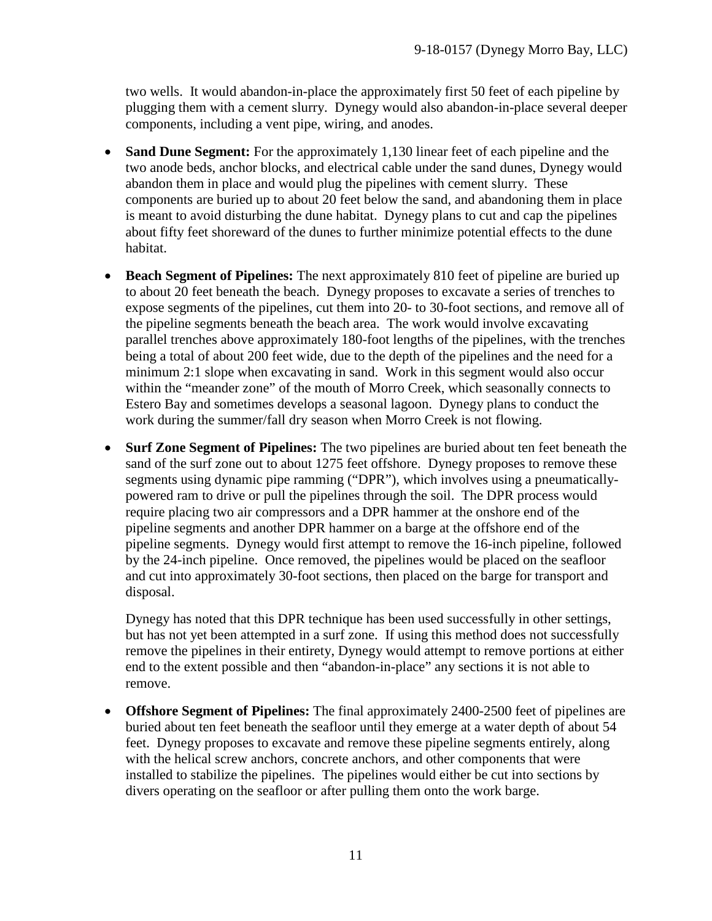two wells. It would abandon-in-place the approximately first 50 feet of each pipeline by plugging them with a cement slurry. Dynegy would also abandon-in-place several deeper components, including a vent pipe, wiring, and anodes.

- **Sand Dune Segment:** For the approximately 1,130 linear feet of each pipeline and the two anode beds, anchor blocks, and electrical cable under the sand dunes, Dynegy would abandon them in place and would plug the pipelines with cement slurry. These components are buried up to about 20 feet below the sand, and abandoning them in place is meant to avoid disturbing the dune habitat. Dynegy plans to cut and cap the pipelines about fifty feet shoreward of the dunes to further minimize potential effects to the dune habitat.
- **Beach Segment of Pipelines:** The next approximately 810 feet of pipeline are buried up to about 20 feet beneath the beach. Dynegy proposes to excavate a series of trenches to expose segments of the pipelines, cut them into 20- to 30-foot sections, and remove all of the pipeline segments beneath the beach area. The work would involve excavating parallel trenches above approximately 180-foot lengths of the pipelines, with the trenches being a total of about 200 feet wide, due to the depth of the pipelines and the need for a minimum 2:1 slope when excavating in sand. Work in this segment would also occur within the "meander zone" of the mouth of Morro Creek, which seasonally connects to Estero Bay and sometimes develops a seasonal lagoon. Dynegy plans to conduct the work during the summer/fall dry season when Morro Creek is not flowing.
- **Surf Zone Segment of Pipelines:** The two pipelines are buried about ten feet beneath the sand of the surf zone out to about 1275 feet offshore. Dynegy proposes to remove these segments using dynamic pipe ramming ("DPR"), which involves using a pneumaticallypowered ram to drive or pull the pipelines through the soil. The DPR process would require placing two air compressors and a DPR hammer at the onshore end of the pipeline segments and another DPR hammer on a barge at the offshore end of the pipeline segments. Dynegy would first attempt to remove the 16-inch pipeline, followed by the 24-inch pipeline. Once removed, the pipelines would be placed on the seafloor and cut into approximately 30-foot sections, then placed on the barge for transport and disposal.

Dynegy has noted that this DPR technique has been used successfully in other settings, but has not yet been attempted in a surf zone. If using this method does not successfully remove the pipelines in their entirety, Dynegy would attempt to remove portions at either end to the extent possible and then "abandon-in-place" any sections it is not able to remove.

• **Offshore Segment of Pipelines:** The final approximately 2400-2500 feet of pipelines are buried about ten feet beneath the seafloor until they emerge at a water depth of about 54 feet. Dynegy proposes to excavate and remove these pipeline segments entirely, along with the helical screw anchors, concrete anchors, and other components that were installed to stabilize the pipelines. The pipelines would either be cut into sections by divers operating on the seafloor or after pulling them onto the work barge.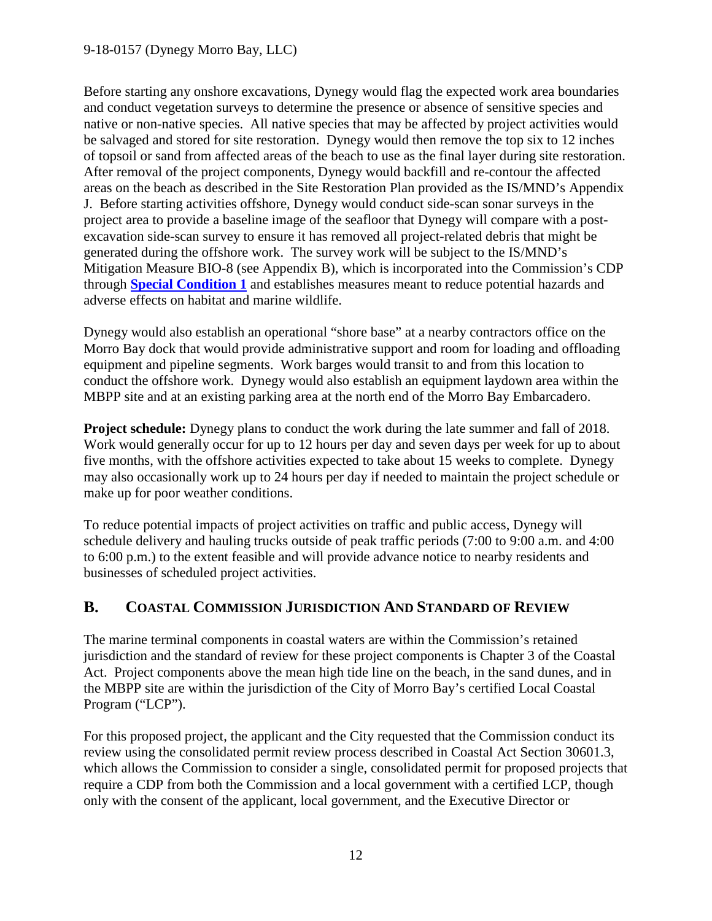Before starting any onshore excavations, Dynegy would flag the expected work area boundaries and conduct vegetation surveys to determine the presence or absence of sensitive species and native or non-native species. All native species that may be affected by project activities would be salvaged and stored for site restoration. Dynegy would then remove the top six to 12 inches of topsoil or sand from affected areas of the beach to use as the final layer during site restoration. After removal of the project components, Dynegy would backfill and re-contour the affected areas on the beach as described in the Site Restoration Plan provided as the IS/MND's Appendix J. Before starting activities offshore, Dynegy would conduct side-scan sonar surveys in the project area to provide a baseline image of the seafloor that Dynegy will compare with a postexcavation side-scan survey to ensure it has removed all project-related debris that might be generated during the offshore work. The survey work will be subject to the IS/MND's Mitigation Measure BIO-8 (see Appendix B), which is incorporated into the Commission's CDP through **[Special Condition 1](#page-4-1)** and establishes measures meant to reduce potential hazards and adverse effects on habitat and marine wildlife.

Dynegy would also establish an operational "shore base" at a nearby contractors office on the Morro Bay dock that would provide administrative support and room for loading and offloading equipment and pipeline segments. Work barges would transit to and from this location to conduct the offshore work. Dynegy would also establish an equipment laydown area within the MBPP site and at an existing parking area at the north end of the Morro Bay Embarcadero.

**Project schedule:** Dynegy plans to conduct the work during the late summer and fall of 2018. Work would generally occur for up to 12 hours per day and seven days per week for up to about five months, with the offshore activities expected to take about 15 weeks to complete. Dynegy may also occasionally work up to 24 hours per day if needed to maintain the project schedule or make up for poor weather conditions.

To reduce potential impacts of project activities on traffic and public access, Dynegy will schedule delivery and hauling trucks outside of peak traffic periods (7:00 to 9:00 a.m. and 4:00 to 6:00 p.m.) to the extent feasible and will provide advance notice to nearby residents and businesses of scheduled project activities.

## <span id="page-11-0"></span>**B. COASTAL COMMISSION JURISDICTION AND STANDARD OF REVIEW**

The marine terminal components in coastal waters are within the Commission's retained jurisdiction and the standard of review for these project components is Chapter 3 of the Coastal Act. Project components above the mean high tide line on the beach, in the sand dunes, and in the MBPP site are within the jurisdiction of the City of Morro Bay's certified Local Coastal Program ("LCP").

For this proposed project, the applicant and the City requested that the Commission conduct its review using the consolidated permit review process described in Coastal Act Section 30601.3, which allows the Commission to consider a single, consolidated permit for proposed projects that require a CDP from both the Commission and a local government with a certified LCP, though only with the consent of the applicant, local government, and the Executive Director or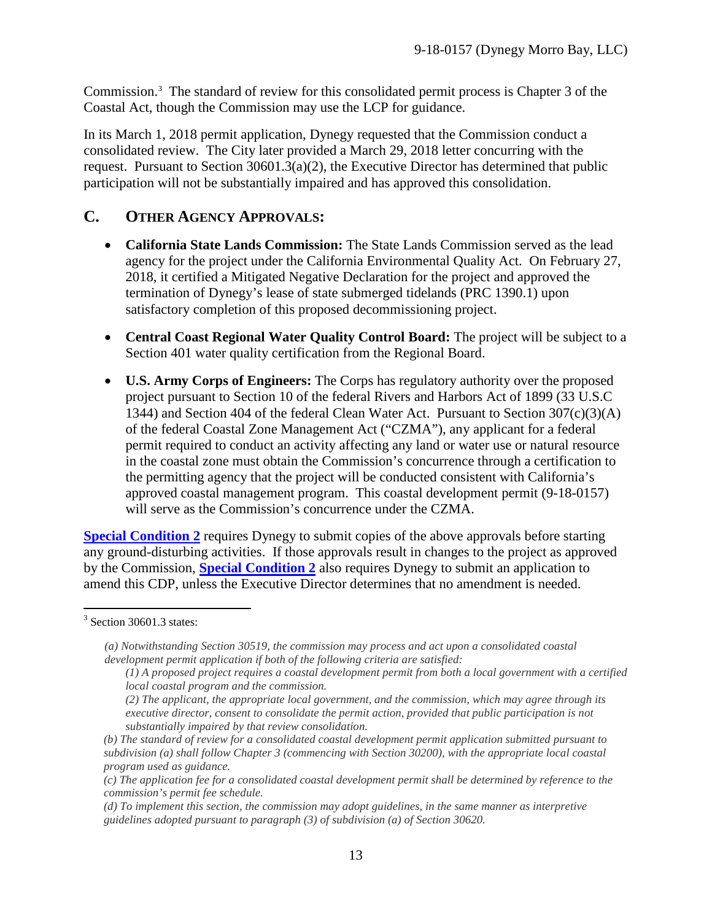Commission. [3](#page-12-1) The standard of review for this consolidated permit process is Chapter 3 of the Coastal Act, though the Commission may use the LCP for guidance.

In its March 1, 2018 permit application, Dynegy requested that the Commission conduct a consolidated review. The City later provided a March 29, 2018 letter concurring with the request. Pursuant to Section 30601.3(a)(2), the Executive Director has determined that public participation will not be substantially impaired and has approved this consolidation.

# <span id="page-12-0"></span>**C. OTHER AGENCY APPROVALS:**

- **California State Lands Commission:** The State Lands Commission served as the lead agency for the project under the California Environmental Quality Act. On February 27, 2018, it certified a Mitigated Negative Declaration for the project and approved the termination of Dynegy's lease of state submerged tidelands (PRC 1390.1) upon satisfactory completion of this proposed decommissioning project.
- **Central Coast Regional Water Quality Control Board:** The project will be subject to a Section 401 water quality certification from the Regional Board.
- **U.S. Army Corps of Engineers:** The Corps has regulatory authority over the proposed project pursuant to Section 10 of the federal Rivers and Harbors Act of 1899 (33 U.S.C 1344) and Section 404 of the federal Clean Water Act. Pursuant to Section 307(c)(3)(A) of the federal Coastal Zone Management Act ("CZMA"), any applicant for a federal permit required to conduct an activity affecting any land or water use or natural resource in the coastal zone must obtain the Commission's concurrence through a certification to the permitting agency that the project will be conducted consistent with California's approved coastal management program. This coastal development permit (9-18-0157) will serve as the Commission's concurrence under the CZMA.

**[Special Condition 2](#page-4-2)** requires Dynegy to submit copies of the above approvals before starting any ground-disturbing activities. If those approvals result in changes to the project as approved by the Commission, **[Special Condition 2](#page-4-2)** also requires Dynegy to submit an application to amend this CDP, unless the Executive Director determines that no amendment is needed.

*(d) To implement this section, the commission may adopt guidelines, in the same manner as interpretive guidelines adopted pursuant to paragraph (3) of subdivision (a) of Section 30620.*

<span id="page-12-1"></span> $\overline{a}$  $3$  Section 30601.3 states:

*<sup>(</sup>a) Notwithstanding Section 30519, the commission may process and act upon a consolidated coastal development permit application if both of the following criteria are satisfied:*

*<sup>(1)</sup> A proposed project requires a coastal development permit from both a local government with a certified local coastal program and the commission.*

*<sup>(2)</sup> The applicant, the appropriate local government, and the commission, which may agree through its executive director, consent to consolidate the permit action, provided that public participation is not substantially impaired by that review consolidation.*

*<sup>(</sup>b) The standard of review for a consolidated coastal development permit application submitted pursuant to subdivision (a) shall follow Chapter 3 (commencing with Section 30200), with the appropriate local coastal program used as guidance.*

*<sup>(</sup>c) The application fee for a consolidated coastal development permit shall be determined by reference to the commission's permit fee schedule.*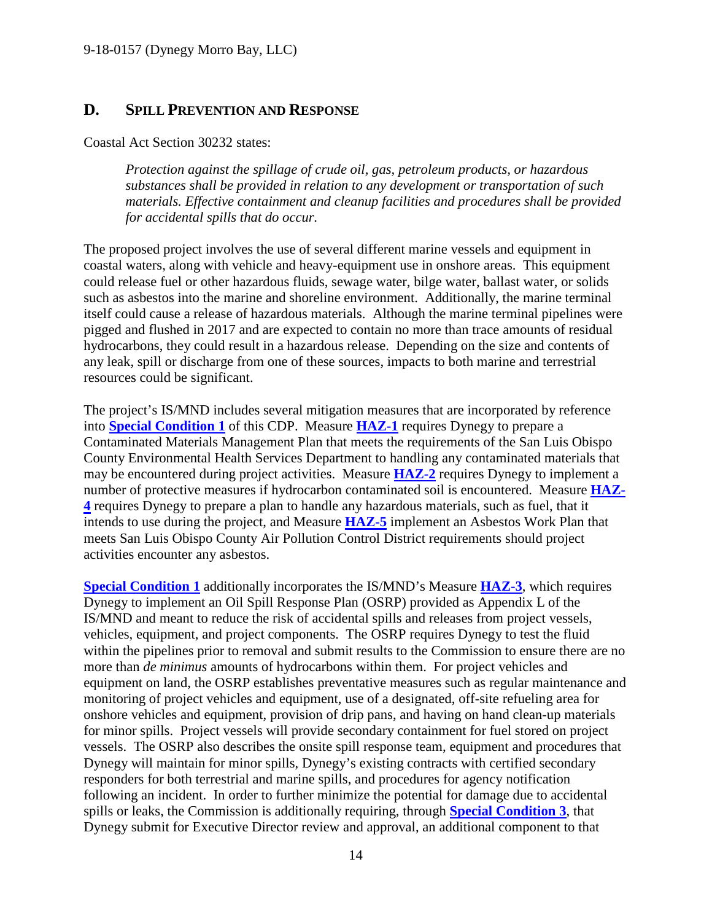## <span id="page-13-0"></span>**D. SPILL PREVENTION AND RESPONSE**

Coastal Act Section 30232 states:

*Protection against the spillage of crude oil, gas, petroleum products, or hazardous substances shall be provided in relation to any development or transportation of such materials. Effective containment and cleanup facilities and procedures shall be provided for accidental spills that do occur.*

The proposed project involves the use of several different marine vessels and equipment in coastal waters, along with vehicle and heavy-equipment use in onshore areas. This equipment could release fuel or other hazardous fluids, sewage water, bilge water, ballast water, or solids such as asbestos into the marine and shoreline environment. Additionally, the marine terminal itself could cause a release of hazardous materials. Although the marine terminal pipelines were pigged and flushed in 2017 and are expected to contain no more than trace amounts of residual hydrocarbons, they could result in a hazardous release. Depending on the size and contents of any leak, spill or discharge from one of these sources, impacts to both marine and terrestrial resources could be significant.

The project's IS/MND includes several mitigation measures that are incorporated by reference into **[Special Condition 1](#page-4-1)** of this CDP. Measure **[HAZ-1](#page-33-0)** requires Dynegy to prepare a Contaminated Materials Management Plan that meets the requirements of the San Luis Obispo County Environmental Health Services Department to handling any contaminated materials that may be encountered during project activities. Measure **[HAZ-2](#page-34-0)** requires Dynegy to implement a number of protective measures if hydrocarbon contaminated soil is encountered. Measure **[HAZ-](#page-34-1)[4](#page-34-1)** requires Dynegy to prepare a plan to handle any hazardous materials, such as fuel, that it intends to use during the project, and Measure **[HAZ-5](#page-34-2)** implement an Asbestos Work Plan that meets San Luis Obispo County Air Pollution Control District requirements should project activities encounter any asbestos.

**[Special Condition 1](#page-4-1)** additionally incorporates the IS/MND's Measure **[HAZ-3](#page-34-3)**, which requires Dynegy to implement an Oil Spill Response Plan (OSRP) provided as Appendix L of the IS/MND and meant to reduce the risk of accidental spills and releases from project vessels, vehicles, equipment, and project components. The OSRP requires Dynegy to test the fluid within the pipelines prior to removal and submit results to the Commission to ensure there are no more than *de minimus* amounts of hydrocarbons within them. For project vehicles and equipment on land, the OSRP establishes preventative measures such as regular maintenance and monitoring of project vehicles and equipment, use of a designated, off-site refueling area for onshore vehicles and equipment, provision of drip pans, and having on hand clean-up materials for minor spills. Project vessels will provide secondary containment for fuel stored on project vessels. The OSRP also describes the onsite spill response team, equipment and procedures that Dynegy will maintain for minor spills, Dynegy's existing contracts with certified secondary responders for both terrestrial and marine spills, and procedures for agency notification following an incident. In order to further minimize the potential for damage due to accidental spills or leaks, the Commission is additionally requiring, through **[Special Condition 3](#page-4-3)**, that Dynegy submit for Executive Director review and approval, an additional component to that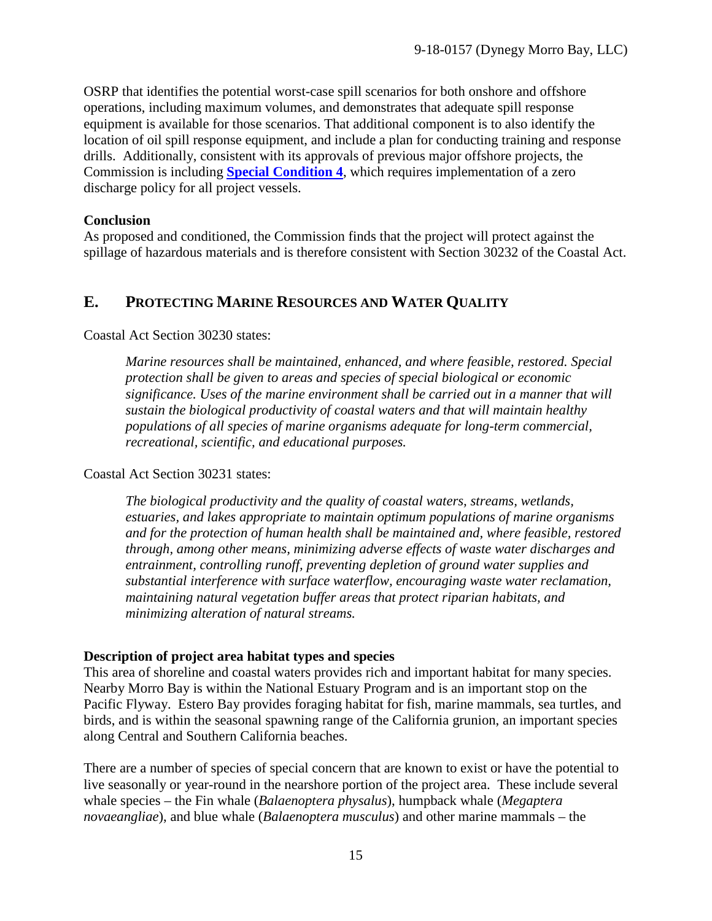OSRP that identifies the potential worst-case spill scenarios for both onshore and offshore operations, including maximum volumes, and demonstrates that adequate spill response equipment is available for those scenarios. That additional component is to also identify the location of oil spill response equipment, and include a plan for conducting training and response drills. Additionally, consistent with its approvals of previous major offshore projects, the Commission is including **[Special Condition 4](#page-4-4)**, which requires implementation of a zero discharge policy for all project vessels.

#### **Conclusion**

As proposed and conditioned, the Commission finds that the project will protect against the spillage of hazardous materials and is therefore consistent with Section 30232 of the Coastal Act.

# <span id="page-14-0"></span>**E. PROTECTING MARINE RESOURCES AND WATER QUALITY**

#### Coastal Act Section 30230 states:

*Marine resources shall be maintained, enhanced, and where feasible, restored. Special protection shall be given to areas and species of special biological or economic significance. Uses of the marine environment shall be carried out in a manner that will sustain the biological productivity of coastal waters and that will maintain healthy populations of all species of marine organisms adequate for long-term commercial, recreational, scientific, and educational purposes.* 

#### Coastal Act Section 30231 states:

*The biological productivity and the quality of coastal waters, streams, wetlands, estuaries, and lakes appropriate to maintain optimum populations of marine organisms and for the protection of human health shall be maintained and, where feasible, restored through, among other means, minimizing adverse effects of waste water discharges and entrainment, controlling runoff, preventing depletion of ground water supplies and substantial interference with surface waterflow, encouraging waste water reclamation, maintaining natural vegetation buffer areas that protect riparian habitats, and minimizing alteration of natural streams.* 

#### **Description of project area habitat types and species**

This area of shoreline and coastal waters provides rich and important habitat for many species. Nearby Morro Bay is within the National Estuary Program and is an important stop on the Pacific Flyway. Estero Bay provides foraging habitat for fish, marine mammals, sea turtles, and birds, and is within the seasonal spawning range of the California grunion, an important species along Central and Southern California beaches.

There are a number of species of special concern that are known to exist or have the potential to live seasonally or year-round in the nearshore portion of the project area. These include several whale species – the Fin whale (*Balaenoptera physalus*), humpback whale (*Megaptera novaeangliae*), and blue whale (*Balaenoptera musculus*) and other marine mammals – the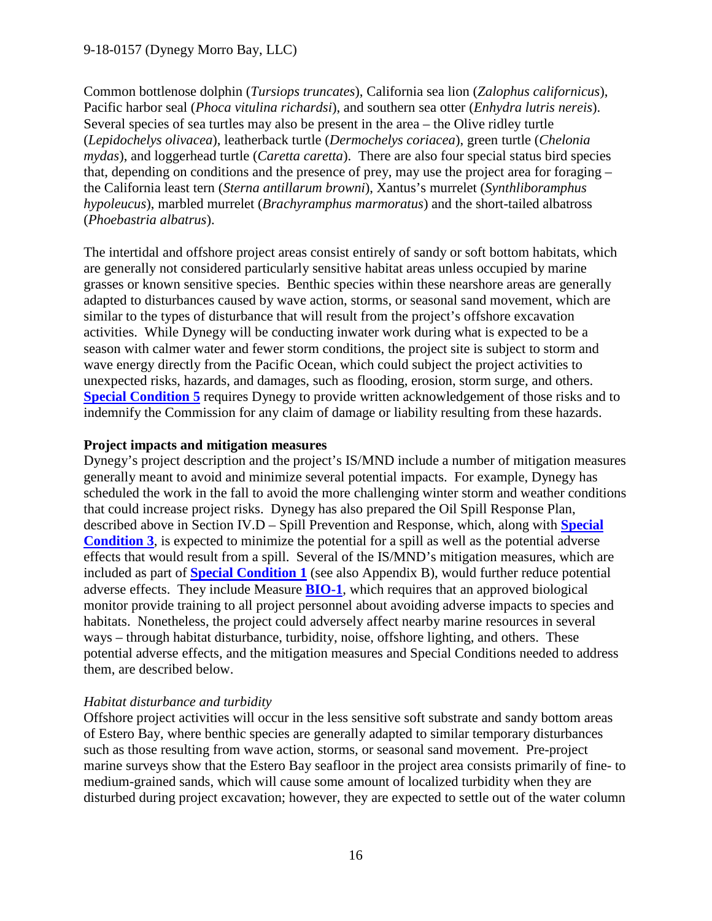Common bottlenose dolphin (*Tursiops truncates*), California sea lion (*Zalophus californicus*), Pacific harbor seal (*Phoca vitulina richardsi*), and southern sea otter (*Enhydra lutris nereis*). Several species of sea turtles may also be present in the area – the Olive ridley turtle (*Lepidochelys olivacea*), leatherback turtle (*Dermochelys coriacea*), green turtle (*Chelonia mydas*), and loggerhead turtle (*Caretta caretta*). There are also four special status bird species that, depending on conditions and the presence of prey, may use the project area for foraging – the California least tern (*Sterna antillarum browni*), Xantus's murrelet (*Synthliboramphus hypoleucus*), marbled murrelet (*Brachyramphus marmoratus*) and the short-tailed albatross (*Phoebastria albatrus*).

The intertidal and offshore project areas consist entirely of sandy or soft bottom habitats, which are generally not considered particularly sensitive habitat areas unless occupied by marine grasses or known sensitive species. Benthic species within these nearshore areas are generally adapted to disturbances caused by wave action, storms, or seasonal sand movement, which are similar to the types of disturbance that will result from the project's offshore excavation activities. While Dynegy will be conducting inwater work during what is expected to be a season with calmer water and fewer storm conditions, the project site is subject to storm and wave energy directly from the Pacific Ocean, which could subject the project activities to unexpected risks, hazards, and damages, such as flooding, erosion, storm surge, and others. **[Special Condition 5](#page-5-0)** requires Dynegy to provide written acknowledgement of those risks and to indemnify the Commission for any claim of damage or liability resulting from these hazards.

## **Project impacts and mitigation measures**

Dynegy's project description and the project's IS/MND include a number of mitigation measures generally meant to avoid and minimize several potential impacts. For example, Dynegy has scheduled the work in the fall to avoid the more challenging winter storm and weather conditions that could increase project risks. Dynegy has also prepared the Oil Spill Response Plan, described above in Section IV.D – Spill Prevention and Response, which, along with **[Special](#page-4-3)  [Condition 3](#page-4-3)**, is expected to minimize the potential for a spill as well as the potential adverse effects that would result from a spill. Several of the IS/MND's mitigation measures, which are included as part of **[Special Condition 1](#page-4-1)** (see also Appendix B), would further reduce potential adverse effects. They include Measure **[BIO-1](#page-29-0)**, which requires that an approved biological monitor provide training to all project personnel about avoiding adverse impacts to species and habitats. Nonetheless, the project could adversely affect nearby marine resources in several ways – through habitat disturbance, turbidity, noise, offshore lighting, and others. These potential adverse effects, and the mitigation measures and Special Conditions needed to address them, are described below.

## *Habitat disturbance and turbidity*

Offshore project activities will occur in the less sensitive soft substrate and sandy bottom areas of Estero Bay, where benthic species are generally adapted to similar temporary disturbances such as those resulting from wave action, storms, or seasonal sand movement. Pre-project marine surveys show that the Estero Bay seafloor in the project area consists primarily of fine- to medium-grained sands, which will cause some amount of localized turbidity when they are disturbed during project excavation; however, they are expected to settle out of the water column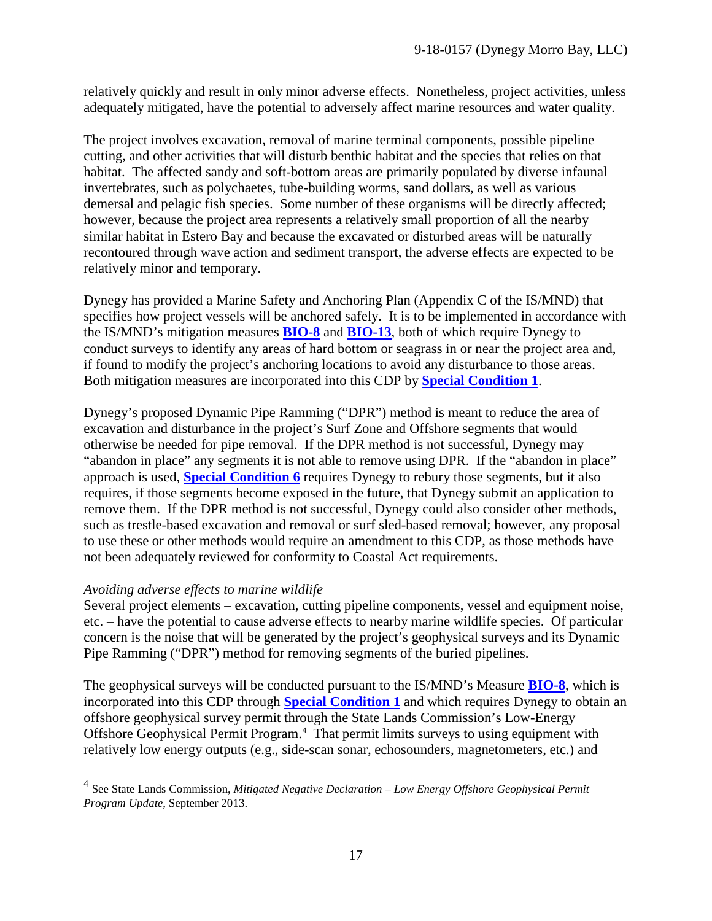relatively quickly and result in only minor adverse effects. Nonetheless, project activities, unless adequately mitigated, have the potential to adversely affect marine resources and water quality.

The project involves excavation, removal of marine terminal components, possible pipeline cutting, and other activities that will disturb benthic habitat and the species that relies on that habitat. The affected sandy and soft-bottom areas are primarily populated by diverse infaunal invertebrates, such as polychaetes, tube-building worms, sand dollars, as well as various demersal and pelagic fish species. Some number of these organisms will be directly affected; however, because the project area represents a relatively small proportion of all the nearby similar habitat in Estero Bay and because the excavated or disturbed areas will be naturally recontoured through wave action and sediment transport, the adverse effects are expected to be relatively minor and temporary.

Dynegy has provided a Marine Safety and Anchoring Plan (Appendix C of the IS/MND) that specifies how project vessels will be anchored safely. It is to be implemented in accordance with the IS/MND's mitigation measures **[BIO-8](#page-31-0)** and **[BIO-13](#page-33-1)**, both of which require Dynegy to conduct surveys to identify any areas of hard bottom or seagrass in or near the project area and, if found to modify the project's anchoring locations to avoid any disturbance to those areas. Both mitigation measures are incorporated into this CDP by **[Special Condition 1](#page-4-1)**.

Dynegy's proposed Dynamic Pipe Ramming ("DPR") method is meant to reduce the area of excavation and disturbance in the project's Surf Zone and Offshore segments that would otherwise be needed for pipe removal. If the DPR method is not successful, Dynegy may "abandon in place" any segments it is not able to remove using DPR. If the "abandon in place" approach is used, **[Special Condition 6](#page-5-1)** requires Dynegy to rebury those segments, but it also requires, if those segments become exposed in the future, that Dynegy submit an application to remove them. If the DPR method is not successful, Dynegy could also consider other methods, such as trestle-based excavation and removal or surf sled-based removal; however, any proposal to use these or other methods would require an amendment to this CDP, as those methods have not been adequately reviewed for conformity to Coastal Act requirements.

## *Avoiding adverse effects to marine wildlife*

 $\overline{a}$ 

Several project elements – excavation, cutting pipeline components, vessel and equipment noise, etc. – have the potential to cause adverse effects to nearby marine wildlife species. Of particular concern is the noise that will be generated by the project's geophysical surveys and its Dynamic Pipe Ramming ("DPR") method for removing segments of the buried pipelines.

The geophysical surveys will be conducted pursuant to the IS/MND's Measure **[BIO-8](#page-31-0)**, which is incorporated into this CDP through **[Special Condition 1](#page-4-1)** and which requires Dynegy to obtain an offshore geophysical survey permit through the State Lands Commission's Low-Energy Offshore Geophysical Permit Program.<sup>[4](#page-16-0)</sup> That permit limits surveys to using equipment with relatively low energy outputs (e.g., side-scan sonar, echosounders, magnetometers, etc.) and

<span id="page-16-0"></span><sup>4</sup> See State Lands Commission, *Mitigated Negative Declaration – Low Energy Offshore Geophysical Permit Program Update*, September 2013.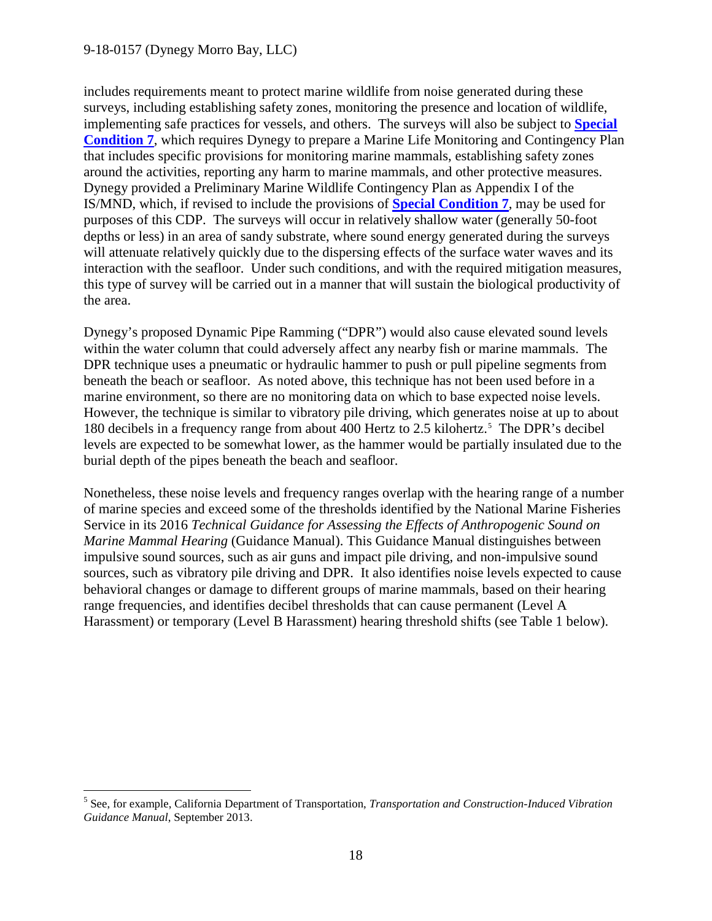$\overline{a}$ 

includes requirements meant to protect marine wildlife from noise generated during these surveys, including establishing safety zones, monitoring the presence and location of wildlife, implementing safe practices for vessels, and others. The surveys will also be subject to **[Special](#page-5-2)  [Condition 7](#page-5-2)**, which requires Dynegy to prepare a Marine Life Monitoring and Contingency Plan that includes specific provisions for monitoring marine mammals, establishing safety zones around the activities, reporting any harm to marine mammals, and other protective measures. Dynegy provided a Preliminary Marine Wildlife Contingency Plan as Appendix I of the IS/MND, which, if revised to include the provisions of **[Special Condition 7](#page-5-2)**, may be used for purposes of this CDP. The surveys will occur in relatively shallow water (generally 50-foot depths or less) in an area of sandy substrate, where sound energy generated during the surveys will attenuate relatively quickly due to the dispersing effects of the surface water waves and its interaction with the seafloor. Under such conditions, and with the required mitigation measures, this type of survey will be carried out in a manner that will sustain the biological productivity of the area.

Dynegy's proposed Dynamic Pipe Ramming ("DPR") would also cause elevated sound levels within the water column that could adversely affect any nearby fish or marine mammals. The DPR technique uses a pneumatic or hydraulic hammer to push or pull pipeline segments from beneath the beach or seafloor. As noted above, this technique has not been used before in a marine environment, so there are no monitoring data on which to base expected noise levels. However, the technique is similar to vibratory pile driving, which generates noise at up to about 180 decibels in a frequency range from about 400 Hertz to 2.[5](#page-17-0) kilohertz.<sup>5</sup> The DPR's decibel levels are expected to be somewhat lower, as the hammer would be partially insulated due to the burial depth of the pipes beneath the beach and seafloor.

Nonetheless, these noise levels and frequency ranges overlap with the hearing range of a number of marine species and exceed some of the thresholds identified by the National Marine Fisheries Service in its 2016 *Technical Guidance for Assessing the Effects of Anthropogenic Sound on Marine Mammal Hearing* (Guidance Manual). This Guidance Manual distinguishes between impulsive sound sources, such as air guns and impact pile driving, and non-impulsive sound sources, such as vibratory pile driving and DPR. It also identifies noise levels expected to cause behavioral changes or damage to different groups of marine mammals, based on their hearing range frequencies, and identifies decibel thresholds that can cause permanent (Level A Harassment) or temporary (Level B Harassment) hearing threshold shifts (see Table 1 below).

<span id="page-17-0"></span><sup>5</sup> See, for example, California Department of Transportation, *Transportation and Construction-Induced Vibration Guidance Manual*, September 2013.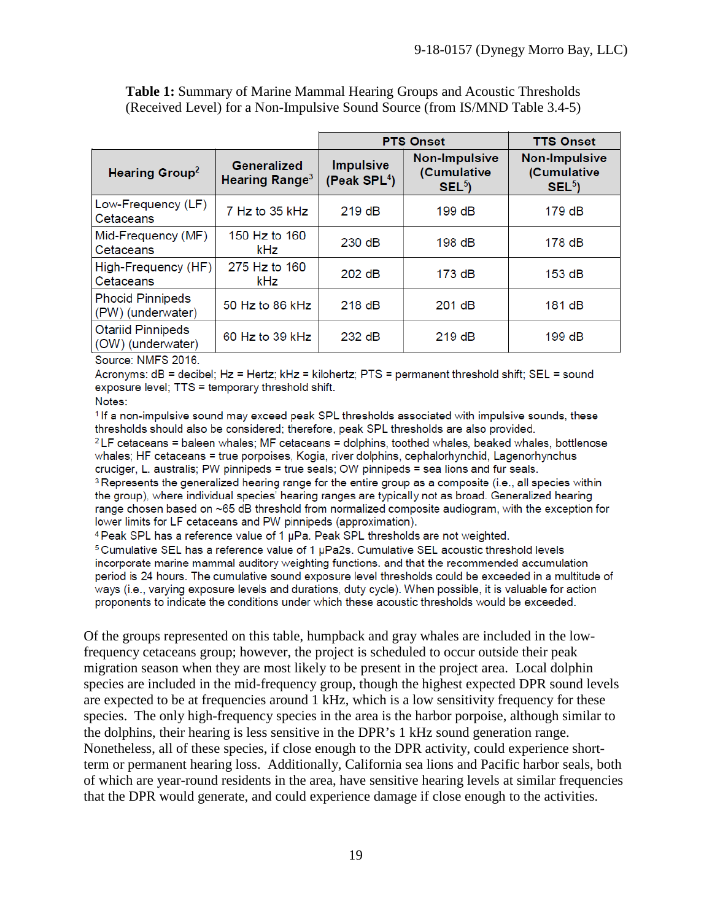|                                         | <b>PTS Onset</b>                   |                                                         | <b>TTS Onset</b>                               |
|-----------------------------------------|------------------------------------|---------------------------------------------------------|------------------------------------------------|
| <b>Generalized</b><br>Hearing Range $3$ | <b>Impulsive</b><br>(Peak $SPL4$ ) | <b>Non-Impulsive</b><br>(Cumulative<br>SEL <sup>5</sup> | <b>Non-Impulsive</b><br>(Cumulative<br>$SEL^5$ |
| 7 Hz to 35 kHz                          | 219dB                              | 199 dB                                                  | 179 dB                                         |
| 150 Hz to 160<br><b>kHz</b>             | 230 dB                             | 198 dB                                                  | 178 dB                                         |
| 275 Hz to 160<br>kHz                    | 202 dB                             | 173 dB                                                  | 153 dB                                         |
| 50 Hz to 86 kHz                         | 218 dB                             | 201 dB                                                  | 181 dB                                         |
| 60 Hz to 39 kHz                         | 232 dB                             | 219dB                                                   | 199 dB                                         |
|                                         | High-Frequency (HF)                |                                                         |                                                |

**Table 1:** Summary of Marine Mammal Hearing Groups and Acoustic Thresholds (Received Level) for a Non-Impulsive Sound Source (from IS/MND Table 3.4-5)

Source: NMFS 2016.

Acronyms: dB = decibel; Hz = Hertz; kHz = kilohertz; PTS = permanent threshold shift; SEL = sound exposure level; TTS = temporary threshold shift.

Notes:

<sup>1</sup> If a non-impulsive sound may exceed peak SPL thresholds associated with impulsive sounds, these thresholds should also be considered; therefore, peak SPL thresholds are also provided.

 $2$  LF cetaceans = baleen whales; MF cetaceans = dolphins, toothed whales, beaked whales, bottlenose whales; HF cetaceans = true porpoises, Kogia, river dolphins, cephalorhynchid, Lagenorhynchus cruciger, L. australis; PW pinnipeds = true seals; OW pinnipeds = sea lions and fur seals.

<sup>3</sup> Represents the generalized hearing range for the entire group as a composite (i.e., all species within the group), where individual species' hearing ranges are typically not as broad. Generalized hearing range chosen based on ~65 dB threshold from normalized composite audiogram, with the exception for lower limits for LF cetaceans and PW pinnipeds (approximation).

<sup>4</sup> Peak SPL has a reference value of 1 µPa. Peak SPL thresholds are not weighted.

<sup>5</sup> Cumulative SEL has a reference value of 1 µPa2s. Cumulative SEL acoustic threshold levels incorporate marine mammal auditory weighting functions, and that the recommended accumulation period is 24 hours. The cumulative sound exposure level thresholds could be exceeded in a multitude of ways (i.e., varying exposure levels and durations, duty cycle). When possible, it is valuable for action proponents to indicate the conditions under which these acoustic thresholds would be exceeded.

Of the groups represented on this table, humpback and gray whales are included in the lowfrequency cetaceans group; however, the project is scheduled to occur outside their peak migration season when they are most likely to be present in the project area. Local dolphin species are included in the mid-frequency group, though the highest expected DPR sound levels are expected to be at frequencies around 1 kHz, which is a low sensitivity frequency for these species. The only high-frequency species in the area is the harbor porpoise, although similar to the dolphins, their hearing is less sensitive in the DPR's 1 kHz sound generation range. Nonetheless, all of these species, if close enough to the DPR activity, could experience shortterm or permanent hearing loss. Additionally, California sea lions and Pacific harbor seals, both of which are year-round residents in the area, have sensitive hearing levels at similar frequencies that the DPR would generate, and could experience damage if close enough to the activities.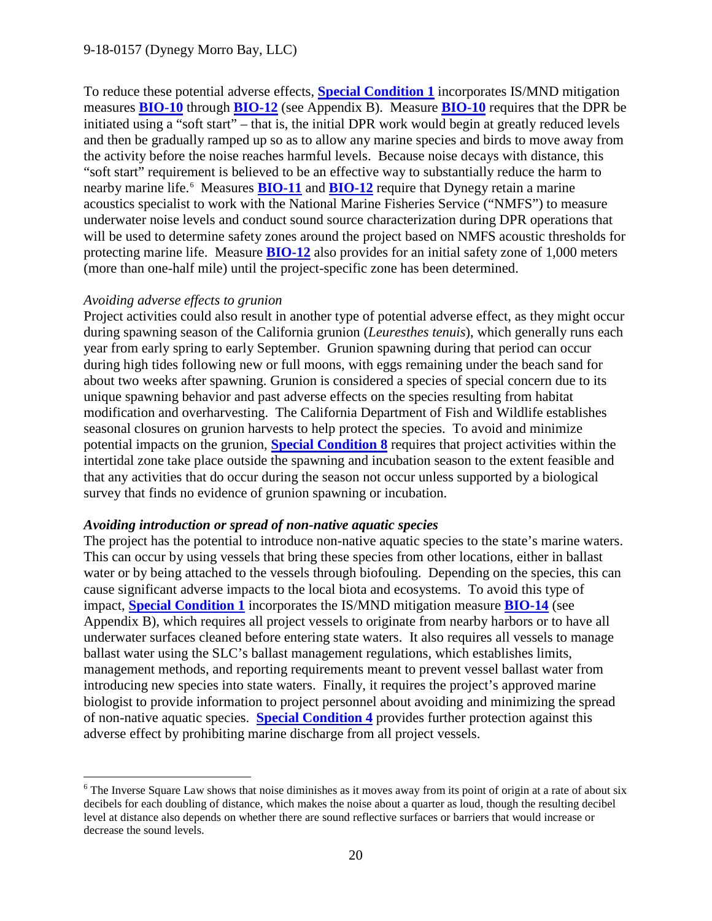To reduce these potential adverse effects, **[Special Condition 1](#page-4-1)** incorporates IS/MND mitigation measures **[BIO-10](#page-32-0)** through **[BIO-12](#page-32-1)** (see Appendix B). Measure **[BIO-10](#page-32-0)** requires that the DPR be initiated using a "soft start" – that is, the initial DPR work would begin at greatly reduced levels and then be gradually ramped up so as to allow any marine species and birds to move away from the activity before the noise reaches harmful levels. Because noise decays with distance, this "soft start" requirement is believed to be an effective way to substantially reduce the harm to nearby marine life.<sup>[6](#page-19-0)</sup> Measures **[BIO-11](#page-32-2)** and **[BIO-12](#page-32-1)** require that Dynegy retain a marine acoustics specialist to work with the National Marine Fisheries Service ("NMFS") to measure underwater noise levels and conduct sound source characterization during DPR operations that will be used to determine safety zones around the project based on NMFS acoustic thresholds for protecting marine life. Measure **[BIO-12](#page-32-1)** also provides for an initial safety zone of 1,000 meters (more than one-half mile) until the project-specific zone has been determined.

#### *Avoiding adverse effects to grunion*

 $\overline{a}$ 

Project activities could also result in another type of potential adverse effect, as they might occur during spawning season of the California grunion (*Leuresthes tenuis*), which generally runs each year from early spring to early September. Grunion spawning during that period can occur during high tides following new or full moons, with eggs remaining under the beach sand for about two weeks after spawning. Grunion is considered a species of special concern due to its unique spawning behavior and past adverse effects on the species resulting from habitat modification and overharvesting. The California Department of Fish and Wildlife establishes seasonal closures on grunion harvests to help protect the species. To avoid and minimize potential impacts on the grunion, **[Special Condition 8](#page-6-0)** requires that project activities within the intertidal zone take place outside the spawning and incubation season to the extent feasible and that any activities that do occur during the season not occur unless supported by a biological survey that finds no evidence of grunion spawning or incubation.

#### *Avoiding introduction or spread of non-native aquatic species*

The project has the potential to introduce non-native aquatic species to the state's marine waters. This can occur by using vessels that bring these species from other locations, either in ballast water or by being attached to the vessels through biofouling. Depending on the species, this can cause significant adverse impacts to the local biota and ecosystems. To avoid this type of impact, **[Special Condition 1](#page-4-1)** incorporates the IS/MND mitigation measure **[BIO-14](#page-33-2)** (see Appendix B), which requires all project vessels to originate from nearby harbors or to have all underwater surfaces cleaned before entering state waters. It also requires all vessels to manage ballast water using the SLC's ballast management regulations, which establishes limits, management methods, and reporting requirements meant to prevent vessel ballast water from introducing new species into state waters. Finally, it requires the project's approved marine biologist to provide information to project personnel about avoiding and minimizing the spread of non-native aquatic species. **[Special Condition 4](#page-4-4)** provides further protection against this adverse effect by prohibiting marine discharge from all project vessels.

<span id="page-19-0"></span><sup>&</sup>lt;sup>6</sup> The Inverse Square Law shows that noise diminishes as it moves away from its point of origin at a rate of about six decibels for each doubling of distance, which makes the noise about a quarter as loud, though the resulting decibel level at distance also depends on whether there are sound reflective surfaces or barriers that would increase or decrease the sound levels.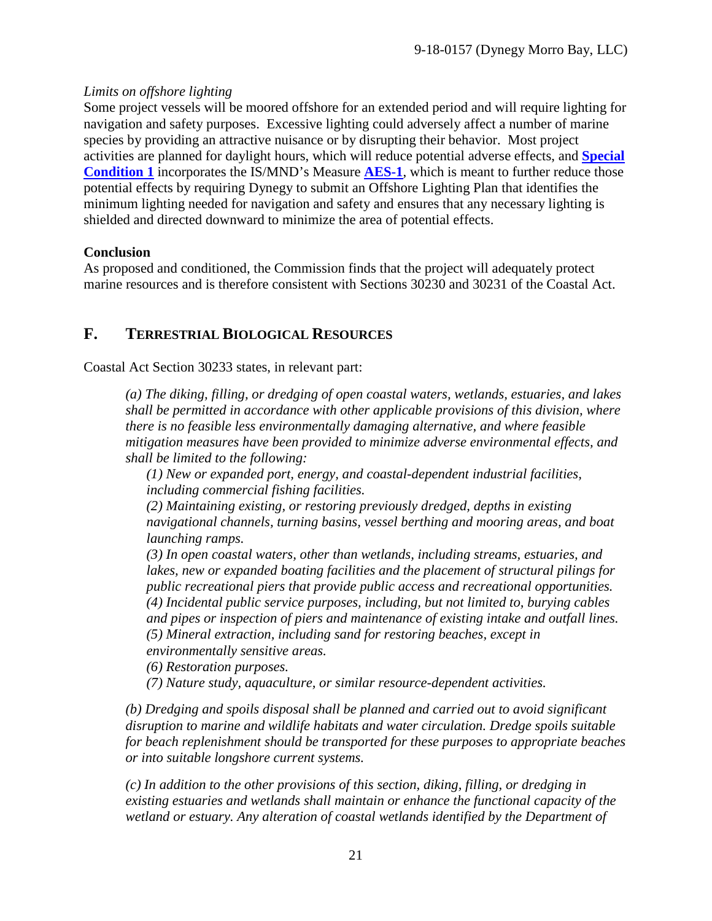## *Limits on offshore lighting*

Some project vessels will be moored offshore for an extended period and will require lighting for navigation and safety purposes. Excessive lighting could adversely affect a number of marine species by providing an attractive nuisance or by disrupting their behavior. Most project activities are planned for daylight hours, which will reduce potential adverse effects, and **[Special](#page-4-1)  [Condition 1](#page-4-1)** incorporates the IS/MND's Measure **[AES-1](#page-29-1)**, which is meant to further reduce those potential effects by requiring Dynegy to submit an Offshore Lighting Plan that identifies the minimum lighting needed for navigation and safety and ensures that any necessary lighting is shielded and directed downward to minimize the area of potential effects.

## **Conclusion**

As proposed and conditioned, the Commission finds that the project will adequately protect marine resources and is therefore consistent with Sections 30230 and 30231 of the Coastal Act.

# <span id="page-20-0"></span>**F. TERRESTRIAL BIOLOGICAL RESOURCES**

Coastal Act Section 30233 states, in relevant part:

*(a) The diking, filling, or dredging of open coastal waters, wetlands, estuaries, and lakes shall be permitted in accordance with other applicable provisions of this division, where there is no feasible less environmentally damaging alternative, and where feasible mitigation measures have been provided to minimize adverse environmental effects, and shall be limited to the following:* 

*(1) New or expanded port, energy, and coastal-dependent industrial facilities, including commercial fishing facilities.*

*(2) Maintaining existing, or restoring previously dredged, depths in existing navigational channels, turning basins, vessel berthing and mooring areas, and boat launching ramps.* 

*(3) In open coastal waters, other than wetlands, including streams, estuaries, and lakes, new or expanded boating facilities and the placement of structural pilings for public recreational piers that provide public access and recreational opportunities. (4) Incidental public service purposes, including, but not limited to, burying cables and pipes or inspection of piers and maintenance of existing intake and outfall lines. (5) Mineral extraction, including sand for restoring beaches, except in environmentally sensitive areas.* 

*(6) Restoration purposes.* 

*(7) Nature study, aquaculture, or similar resource-dependent activities.*

*(b) Dredging and spoils disposal shall be planned and carried out to avoid significant disruption to marine and wildlife habitats and water circulation. Dredge spoils suitable for beach replenishment should be transported for these purposes to appropriate beaches or into suitable longshore current systems.*

*(c) In addition to the other provisions of this section, diking, filling, or dredging in existing estuaries and wetlands shall maintain or enhance the functional capacity of the wetland or estuary. Any alteration of coastal wetlands identified by the Department of*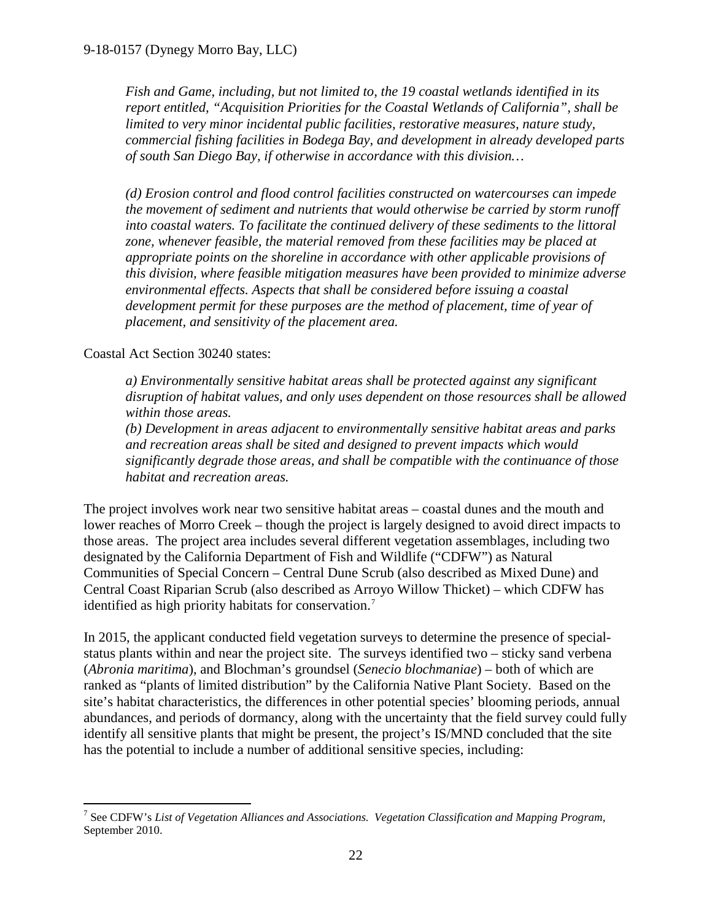*Fish and Game, including, but not limited to, the 19 coastal wetlands identified in its report entitled, "Acquisition Priorities for the Coastal Wetlands of California", shall be limited to very minor incidental public facilities, restorative measures, nature study, commercial fishing facilities in Bodega Bay, and development in already developed parts of south San Diego Bay, if otherwise in accordance with this division…* 

*(d) Erosion control and flood control facilities constructed on watercourses can impede the movement of sediment and nutrients that would otherwise be carried by storm runoff into coastal waters. To facilitate the continued delivery of these sediments to the littoral zone, whenever feasible, the material removed from these facilities may be placed at appropriate points on the shoreline in accordance with other applicable provisions of this division, where feasible mitigation measures have been provided to minimize adverse environmental effects. Aspects that shall be considered before issuing a coastal development permit for these purposes are the method of placement, time of year of placement, and sensitivity of the placement area.* 

## Coastal Act Section 30240 states:

*a) Environmentally sensitive habitat areas shall be protected against any significant disruption of habitat values, and only uses dependent on those resources shall be allowed within those areas.* 

*(b) Development in areas adjacent to environmentally sensitive habitat areas and parks and recreation areas shall be sited and designed to prevent impacts which would significantly degrade those areas, and shall be compatible with the continuance of those habitat and recreation areas.*

The project involves work near two sensitive habitat areas – coastal dunes and the mouth and lower reaches of Morro Creek – though the project is largely designed to avoid direct impacts to those areas. The project area includes several different vegetation assemblages, including two designated by the California Department of Fish and Wildlife ("CDFW") as Natural Communities of Special Concern – Central Dune Scrub (also described as Mixed Dune) and Central Coast Riparian Scrub (also described as Arroyo Willow Thicket) – which CDFW has identified as high priority habitats for conservation.<sup>[7](#page-21-0)</sup>

In 2015, the applicant conducted field vegetation surveys to determine the presence of specialstatus plants within and near the project site. The surveys identified two – sticky sand verbena (*Abronia maritima*), and Blochman's groundsel (*Senecio blochmaniae*) – both of which are ranked as "plants of limited distribution" by the California Native Plant Society. Based on the site's habitat characteristics, the differences in other potential species' blooming periods, annual abundances, and periods of dormancy, along with the uncertainty that the field survey could fully identify all sensitive plants that might be present, the project's IS/MND concluded that the site has the potential to include a number of additional sensitive species, including:

<span id="page-21-0"></span> $\overline{a}$ <sup>7</sup> See CDFW's *List of Vegetation Alliances and Associations. Vegetation Classification and Mapping Program*, September 2010.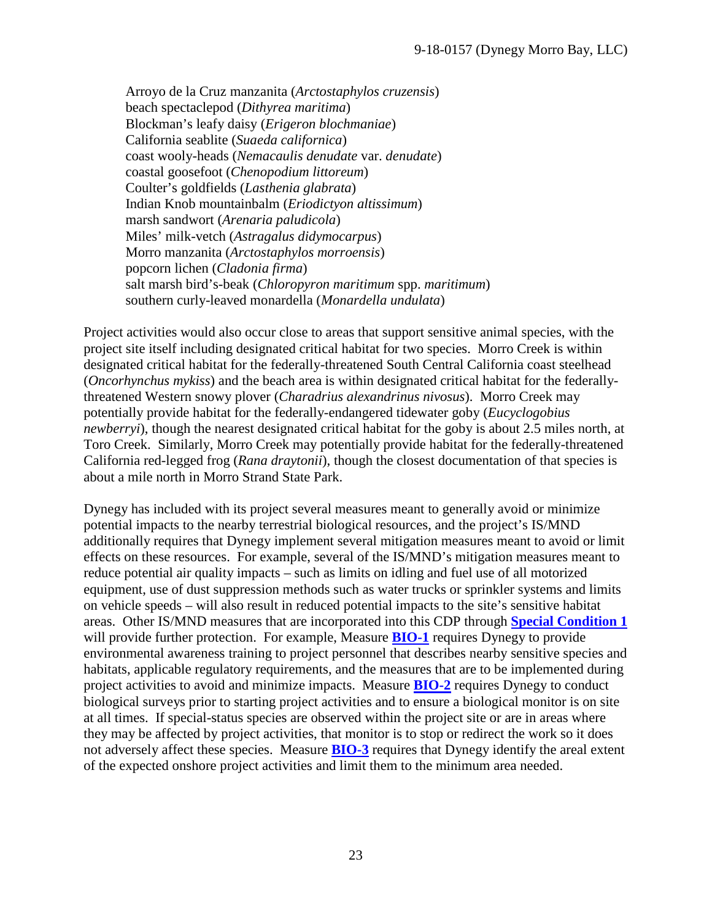Arroyo de la Cruz manzanita (*Arctostaphylos cruzensis*) beach spectaclepod (*Dithyrea maritima*) Blockman's leafy daisy (*Erigeron blochmaniae*) California seablite (*Suaeda californica*) coast wooly-heads (*Nemacaulis denudate* var. *denudate*) coastal goosefoot (*Chenopodium littoreum*) Coulter's goldfields (*Lasthenia glabrata*) Indian Knob mountainbalm (*Eriodictyon altissimum*) marsh sandwort (*Arenaria paludicola*) Miles' milk-vetch (*Astragalus didymocarpus*) Morro manzanita (*Arctostaphylos morroensis*) popcorn lichen (*Cladonia firma*) salt marsh bird's-beak (*Chloropyron maritimum* spp. *maritimum*) southern curly-leaved monardella (*Monardella undulata*)

Project activities would also occur close to areas that support sensitive animal species, with the project site itself including designated critical habitat for two species. Morro Creek is within designated critical habitat for the federally-threatened South Central California coast steelhead (*Oncorhynchus mykiss*) and the beach area is within designated critical habitat for the federallythreatened Western snowy plover (*Charadrius alexandrinus nivosus*). Morro Creek may potentially provide habitat for the federally-endangered tidewater goby (*Eucyclogobius newberryi*), though the nearest designated critical habitat for the goby is about 2.5 miles north, at Toro Creek. Similarly, Morro Creek may potentially provide habitat for the federally-threatened California red-legged frog (*Rana draytonii*), though the closest documentation of that species is about a mile north in Morro Strand State Park.

Dynegy has included with its project several measures meant to generally avoid or minimize potential impacts to the nearby terrestrial biological resources, and the project's IS/MND additionally requires that Dynegy implement several mitigation measures meant to avoid or limit effects on these resources. For example, several of the IS/MND's mitigation measures meant to reduce potential air quality impacts – such as limits on idling and fuel use of all motorized equipment, use of dust suppression methods such as water trucks or sprinkler systems and limits on vehicle speeds – will also result in reduced potential impacts to the site's sensitive habitat areas. Other IS/MND measures that are incorporated into this CDP through **[Special Condition 1](#page-4-1)** will provide further protection. For example, Measure **[BIO-1](#page-29-0)** requires Dynegy to provide environmental awareness training to project personnel that describes nearby sensitive species and habitats, applicable regulatory requirements, and the measures that are to be implemented during project activities to avoid and minimize impacts. Measure **[BIO-2](#page-29-2)** requires Dynegy to conduct biological surveys prior to starting project activities and to ensure a biological monitor is on site at all times. If special-status species are observed within the project site or are in areas where they may be affected by project activities, that monitor is to stop or redirect the work so it does not adversely affect these species. Measure **[BIO-3](#page-30-0)** requires that Dynegy identify the areal extent of the expected onshore project activities and limit them to the minimum area needed.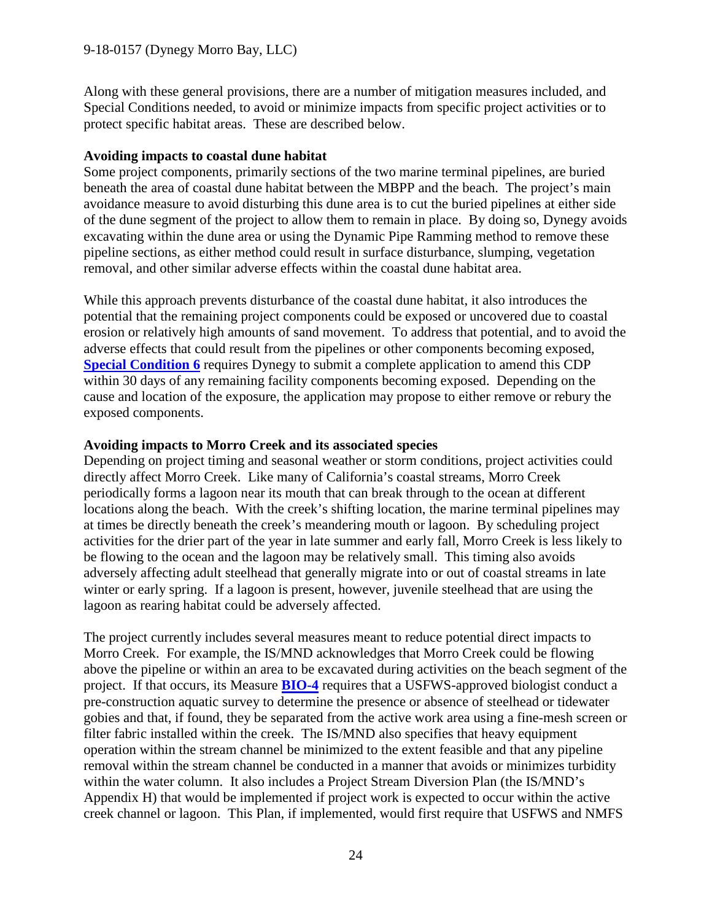Along with these general provisions, there are a number of mitigation measures included, and Special Conditions needed, to avoid or minimize impacts from specific project activities or to protect specific habitat areas. These are described below.

#### **Avoiding impacts to coastal dune habitat**

Some project components, primarily sections of the two marine terminal pipelines, are buried beneath the area of coastal dune habitat between the MBPP and the beach. The project's main avoidance measure to avoid disturbing this dune area is to cut the buried pipelines at either side of the dune segment of the project to allow them to remain in place. By doing so, Dynegy avoids excavating within the dune area or using the Dynamic Pipe Ramming method to remove these pipeline sections, as either method could result in surface disturbance, slumping, vegetation removal, and other similar adverse effects within the coastal dune habitat area.

While this approach prevents disturbance of the coastal dune habitat, it also introduces the potential that the remaining project components could be exposed or uncovered due to coastal erosion or relatively high amounts of sand movement. To address that potential, and to avoid the adverse effects that could result from the pipelines or other components becoming exposed, **[Special Condition 6](#page-5-1)** requires Dynegy to submit a complete application to amend this CDP within 30 days of any remaining facility components becoming exposed. Depending on the cause and location of the exposure, the application may propose to either remove or rebury the exposed components.

#### **Avoiding impacts to Morro Creek and its associated species**

Depending on project timing and seasonal weather or storm conditions, project activities could directly affect Morro Creek. Like many of California's coastal streams, Morro Creek periodically forms a lagoon near its mouth that can break through to the ocean at different locations along the beach. With the creek's shifting location, the marine terminal pipelines may at times be directly beneath the creek's meandering mouth or lagoon. By scheduling project activities for the drier part of the year in late summer and early fall, Morro Creek is less likely to be flowing to the ocean and the lagoon may be relatively small. This timing also avoids adversely affecting adult steelhead that generally migrate into or out of coastal streams in late winter or early spring. If a lagoon is present, however, juvenile steelhead that are using the lagoon as rearing habitat could be adversely affected.

The project currently includes several measures meant to reduce potential direct impacts to Morro Creek. For example, the IS/MND acknowledges that Morro Creek could be flowing above the pipeline or within an area to be excavated during activities on the beach segment of the project. If that occurs, its Measure **[BIO-4](#page-30-1)** requires that a USFWS-approved biologist conduct a pre-construction aquatic survey to determine the presence or absence of steelhead or tidewater gobies and that, if found, they be separated from the active work area using a fine-mesh screen or filter fabric installed within the creek. The IS/MND also specifies that heavy equipment operation within the stream channel be minimized to the extent feasible and that any pipeline removal within the stream channel be conducted in a manner that avoids or minimizes turbidity within the water column. It also includes a Project Stream Diversion Plan (the IS/MND's Appendix H) that would be implemented if project work is expected to occur within the active creek channel or lagoon. This Plan, if implemented, would first require that USFWS and NMFS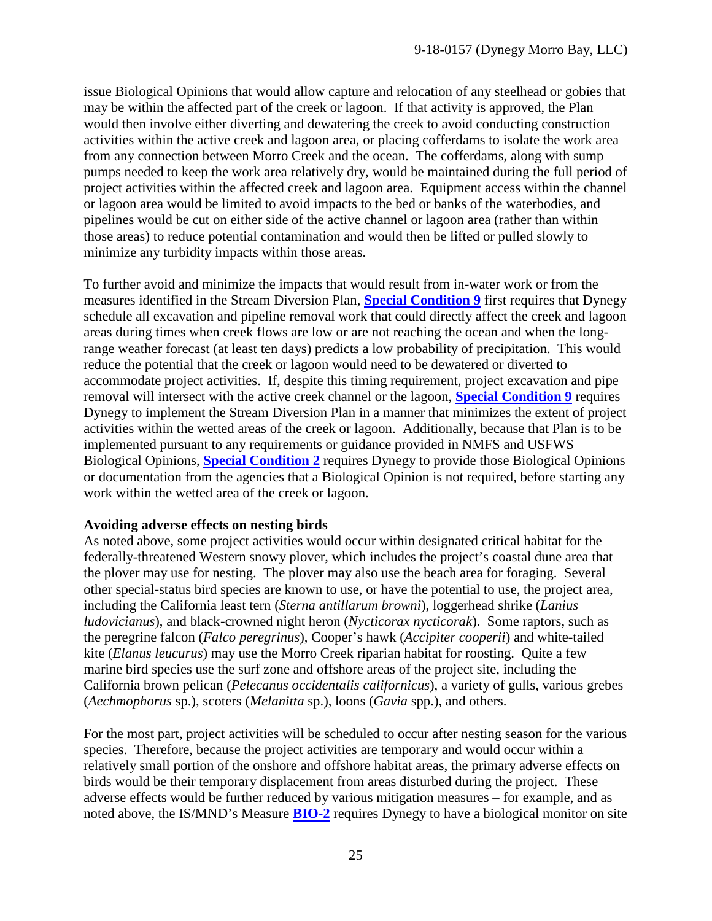issue Biological Opinions that would allow capture and relocation of any steelhead or gobies that may be within the affected part of the creek or lagoon. If that activity is approved, the Plan would then involve either diverting and dewatering the creek to avoid conducting construction activities within the active creek and lagoon area, or placing cofferdams to isolate the work area from any connection between Morro Creek and the ocean. The cofferdams, along with sump pumps needed to keep the work area relatively dry, would be maintained during the full period of project activities within the affected creek and lagoon area. Equipment access within the channel or lagoon area would be limited to avoid impacts to the bed or banks of the waterbodies, and pipelines would be cut on either side of the active channel or lagoon area (rather than within those areas) to reduce potential contamination and would then be lifted or pulled slowly to minimize any turbidity impacts within those areas.

To further avoid and minimize the impacts that would result from in-water work or from the measures identified in the Stream Diversion Plan, **[Special Condition 9](#page-7-0)** first requires that Dynegy schedule all excavation and pipeline removal work that could directly affect the creek and lagoon areas during times when creek flows are low or are not reaching the ocean and when the longrange weather forecast (at least ten days) predicts a low probability of precipitation. This would reduce the potential that the creek or lagoon would need to be dewatered or diverted to accommodate project activities. If, despite this timing requirement, project excavation and pipe removal will intersect with the active creek channel or the lagoon, **[Special Condition 9](#page-7-0)** requires Dynegy to implement the Stream Diversion Plan in a manner that minimizes the extent of project activities within the wetted areas of the creek or lagoon. Additionally, because that Plan is to be implemented pursuant to any requirements or guidance provided in NMFS and USFWS Biological Opinions, **[Special Condition 2](#page-4-2)** requires Dynegy to provide those Biological Opinions or documentation from the agencies that a Biological Opinion is not required, before starting any work within the wetted area of the creek or lagoon.

#### **Avoiding adverse effects on nesting birds**

As noted above, some project activities would occur within designated critical habitat for the federally-threatened Western snowy plover, which includes the project's coastal dune area that the plover may use for nesting. The plover may also use the beach area for foraging. Several other special-status bird species are known to use, or have the potential to use, the project area, including the California least tern (*Sterna antillarum browni*), loggerhead shrike (*Lanius ludovicianus*), and black-crowned night heron (*Nycticorax nycticorak*). Some raptors, such as the peregrine falcon (*Falco peregrinus*), Cooper's hawk (*Accipiter cooperii*) and white-tailed kite (*Elanus leucurus*) may use the Morro Creek riparian habitat for roosting. Quite a few marine bird species use the surf zone and offshore areas of the project site, including the California brown pelican (*Pelecanus occidentalis californicus*), a variety of gulls, various grebes (*Aechmophorus* sp.), scoters (*Melanitta* sp.), loons (*Gavia* spp.), and others.

For the most part, project activities will be scheduled to occur after nesting season for the various species. Therefore, because the project activities are temporary and would occur within a relatively small portion of the onshore and offshore habitat areas, the primary adverse effects on birds would be their temporary displacement from areas disturbed during the project. These adverse effects would be further reduced by various mitigation measures – for example, and as noted above, the IS/MND's Measure **[BIO-2](#page-29-2)** requires Dynegy to have a biological monitor on site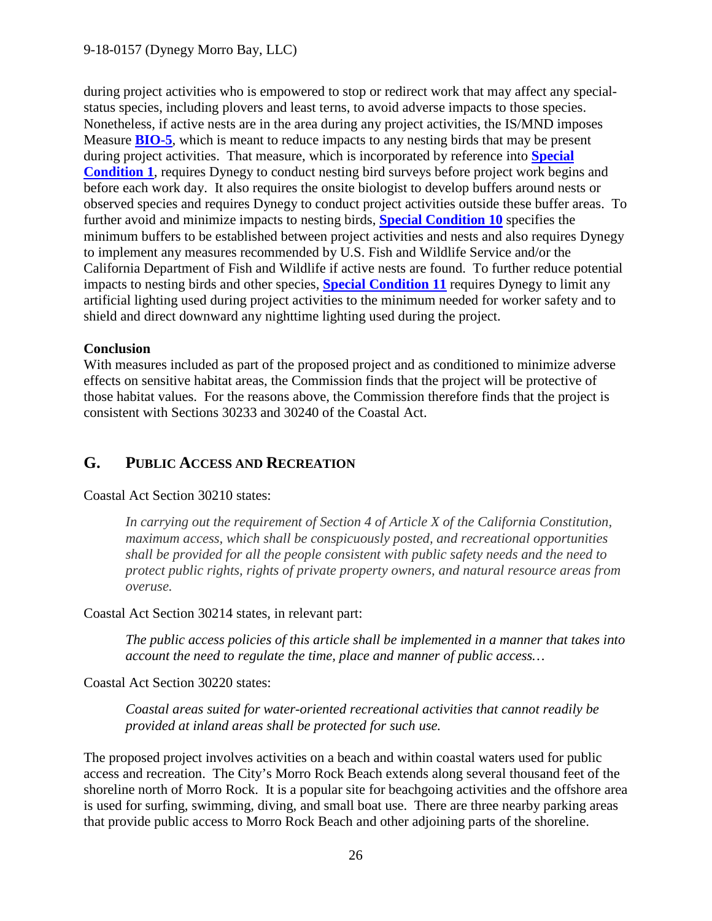during project activities who is empowered to stop or redirect work that may affect any specialstatus species, including plovers and least terns, to avoid adverse impacts to those species. Nonetheless, if active nests are in the area during any project activities, the IS/MND imposes Measure **[BIO-5](#page-31-1)**, which is meant to reduce impacts to any nesting birds that may be present during project activities. That measure, which is incorporated by reference into **[Special](#page-4-1)  [Condition 1](#page-4-1)**, requires Dynegy to conduct nesting bird surveys before project work begins and before each work day. It also requires the onsite biologist to develop buffers around nests or observed species and requires Dynegy to conduct project activities outside these buffer areas. To further avoid and minimize impacts to nesting birds, **[Special Condition 10](#page-7-1)** specifies the minimum buffers to be established between project activities and nests and also requires Dynegy to implement any measures recommended by U.S. Fish and Wildlife Service and/or the California Department of Fish and Wildlife if active nests are found. To further reduce potential impacts to nesting birds and other species, **[Special Condition 11](#page-7-2)** requires Dynegy to limit any artificial lighting used during project activities to the minimum needed for worker safety and to shield and direct downward any nighttime lighting used during the project.

#### **Conclusion**

With measures included as part of the proposed project and as conditioned to minimize adverse effects on sensitive habitat areas, the Commission finds that the project will be protective of those habitat values. For the reasons above, the Commission therefore finds that the project is consistent with Sections 30233 and 30240 of the Coastal Act.

# <span id="page-25-0"></span>**G. PUBLIC ACCESS AND RECREATION**

#### Coastal Act Section 30210 states:

*In carrying out the requirement of Section 4 of Article X of the California Constitution, maximum access, which shall be conspicuously posted, and recreational opportunities shall be provided for all the people consistent with public safety needs and the need to protect public rights, rights of private property owners, and natural resource areas from overuse.*

#### Coastal Act Section 30214 states, in relevant part:

*The public access policies of this article shall be implemented in a manner that takes into account the need to regulate the time, place and manner of public access…* 

Coastal Act Section 30220 states:

*Coastal areas suited for water-oriented recreational activities that cannot readily be provided at inland areas shall be protected for such use.* 

The proposed project involves activities on a beach and within coastal waters used for public access and recreation. The City's Morro Rock Beach extends along several thousand feet of the shoreline north of Morro Rock. It is a popular site for beachgoing activities and the offshore area is used for surfing, swimming, diving, and small boat use. There are three nearby parking areas that provide public access to Morro Rock Beach and other adjoining parts of the shoreline.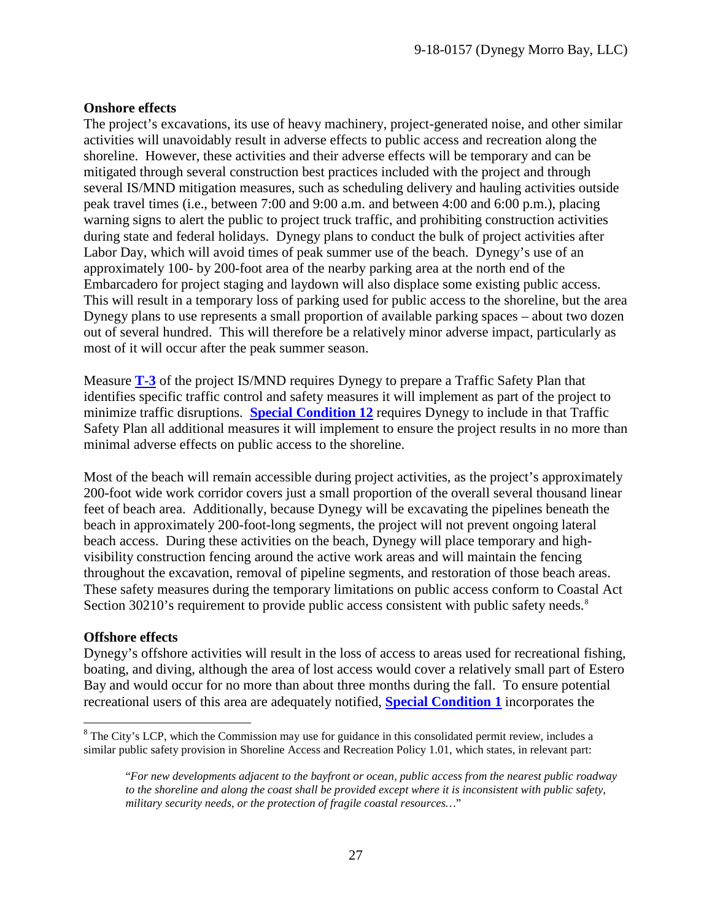#### **Onshore effects**

The project's excavations, its use of heavy machinery, project-generated noise, and other similar activities will unavoidably result in adverse effects to public access and recreation along the shoreline. However, these activities and their adverse effects will be temporary and can be mitigated through several construction best practices included with the project and through several IS/MND mitigation measures, such as scheduling delivery and hauling activities outside peak travel times (i.e., between 7:00 and 9:00 a.m. and between 4:00 and 6:00 p.m.), placing warning signs to alert the public to project truck traffic, and prohibiting construction activities during state and federal holidays. Dynegy plans to conduct the bulk of project activities after Labor Day, which will avoid times of peak summer use of the beach. Dynegy's use of an approximately 100- by 200-foot area of the nearby parking area at the north end of the Embarcadero for project staging and laydown will also displace some existing public access. This will result in a temporary loss of parking used for public access to the shoreline, but the area Dynegy plans to use represents a small proportion of available parking spaces – about two dozen out of several hundred. This will therefore be a relatively minor adverse impact, particularly as most of it will occur after the peak summer season.

Measure **[T-3](#page-34-4)** of the project IS/MND requires Dynegy to prepare a Traffic Safety Plan that identifies specific traffic control and safety measures it will implement as part of the project to minimize traffic disruptions. **[Special Condition 12](#page-7-3)** requires Dynegy to include in that Traffic Safety Plan all additional measures it will implement to ensure the project results in no more than minimal adverse effects on public access to the shoreline.

Most of the beach will remain accessible during project activities, as the project's approximately 200-foot wide work corridor covers just a small proportion of the overall several thousand linear feet of beach area. Additionally, because Dynegy will be excavating the pipelines beneath the beach in approximately 200-foot-long segments, the project will not prevent ongoing lateral beach access. During these activities on the beach, Dynegy will place temporary and highvisibility construction fencing around the active work areas and will maintain the fencing throughout the excavation, removal of pipeline segments, and restoration of those beach areas. These safety measures during the temporary limitations on public access conform to Coastal Act Section 30210's requirement to provide public access consistent with public safety needs.<sup>[8](#page-26-0)</sup>

#### **Offshore effects**

 $\overline{a}$ 

Dynegy's offshore activities will result in the loss of access to areas used for recreational fishing, boating, and diving, although the area of lost access would cover a relatively small part of Estero Bay and would occur for no more than about three months during the fall. To ensure potential recreational users of this area are adequately notified, **[Special Condition 1](#page-4-1)** incorporates the

<span id="page-26-0"></span><sup>&</sup>lt;sup>8</sup> The City's LCP, which the Commission may use for guidance in this consolidated permit review, includes a similar public safety provision in Shoreline Access and Recreation Policy 1.01, which states, in relevant part:

<sup>&</sup>quot;*For new developments adjacent to the bayfront or ocean, public access from the nearest public roadway to the shoreline and along the coast shall be provided except where it is inconsistent with public safety, military security needs, or the protection of fragile coastal resources…*"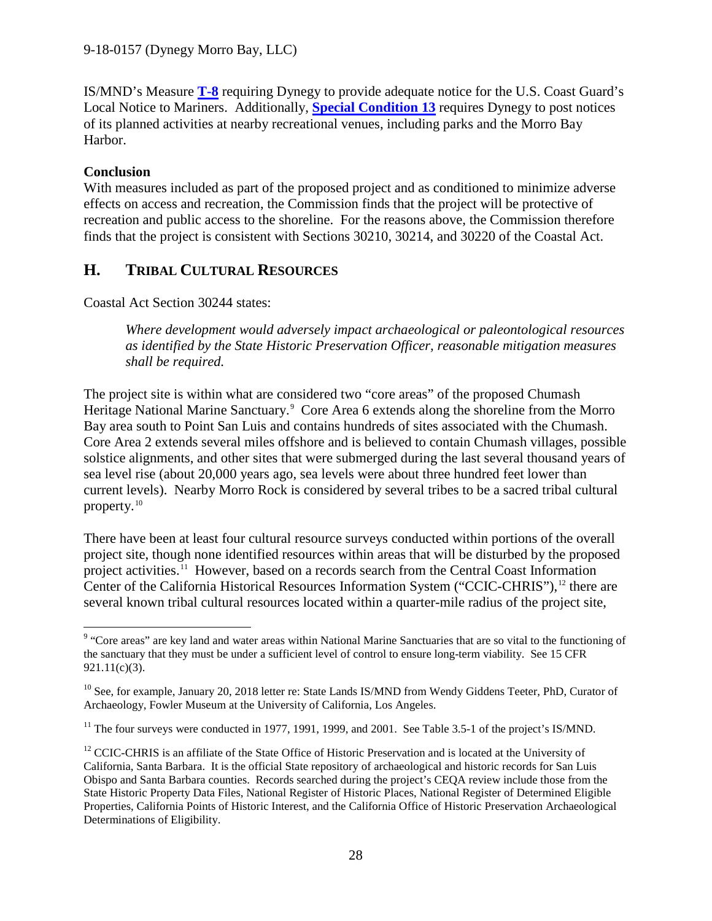IS/MND's Measure **[T-8](#page-35-0)** requiring Dynegy to provide adequate notice for the U.S. Coast Guard's Local Notice to Mariners. Additionally, **[Special Condition 13](#page-7-4)** requires Dynegy to post notices of its planned activities at nearby recreational venues, including parks and the Morro Bay Harbor.

## **Conclusion**

With measures included as part of the proposed project and as conditioned to minimize adverse effects on access and recreation, the Commission finds that the project will be protective of recreation and public access to the shoreline. For the reasons above, the Commission therefore finds that the project is consistent with Sections 30210, 30214, and 30220 of the Coastal Act.

# <span id="page-27-0"></span>**H. TRIBAL CULTURAL RESOURCES**

Coastal Act Section 30244 states:

*Where development would adversely impact archaeological or paleontological resources as identified by the State Historic Preservation Officer, reasonable mitigation measures shall be required.* 

The project site is within what are considered two "core areas" of the proposed Chumash Heritage National Marine Sanctuary.<sup>[9](#page-27-1)</sup> Core Area 6 extends along the shoreline from the Morro Bay area south to Point San Luis and contains hundreds of sites associated with the Chumash. Core Area 2 extends several miles offshore and is believed to contain Chumash villages, possible solstice alignments, and other sites that were submerged during the last several thousand years of sea level rise (about 20,000 years ago, sea levels were about three hundred feet lower than current levels). Nearby Morro Rock is considered by several tribes to be a sacred tribal cultural property.[10](#page-27-2)

There have been at least four cultural resource surveys conducted within portions of the overall project site, though none identified resources within areas that will be disturbed by the proposed project activities.<sup>11</sup> However, based on a records search from the Central Coast Information Center of the California Historical Resources Information System ("CCIC-CHRIS"),<sup>12</sup> there are several known tribal cultural resources located within a quarter-mile radius of the project site,

<span id="page-27-1"></span> $\overline{a}$ <sup>9</sup> "Core areas" are key land and water areas within National Marine Sanctuaries that are so vital to the functioning of the sanctuary that they must be under a sufficient level of control to ensure long-term viability. See 15 CFR 921.11(c)(3).

<span id="page-27-2"></span><sup>&</sup>lt;sup>10</sup> See, for example, January 20, 2018 letter re: State Lands IS/MND from Wendy Giddens Teeter, PhD, Curator of Archaeology, Fowler Museum at the University of California, Los Angeles.

<span id="page-27-3"></span><sup>&</sup>lt;sup>11</sup> The four surveys were conducted in 1977, 1991, 1999, and 2001. See Table 3.5-1 of the project's IS/MND.

<span id="page-27-4"></span><sup>&</sup>lt;sup>12</sup> CCIC-CHRIS is an affiliate of the State Office of Historic Preservation and is located at the University of California, Santa Barbara. It is the official State repository of archaeological and historic records for San Luis Obispo and Santa Barbara counties. Records searched during the project's CEQA review include those from the State Historic Property Data Files, National Register of Historic Places, National Register of Determined Eligible Properties, California Points of Historic Interest, and the California Office of Historic Preservation Archaeological Determinations of Eligibility.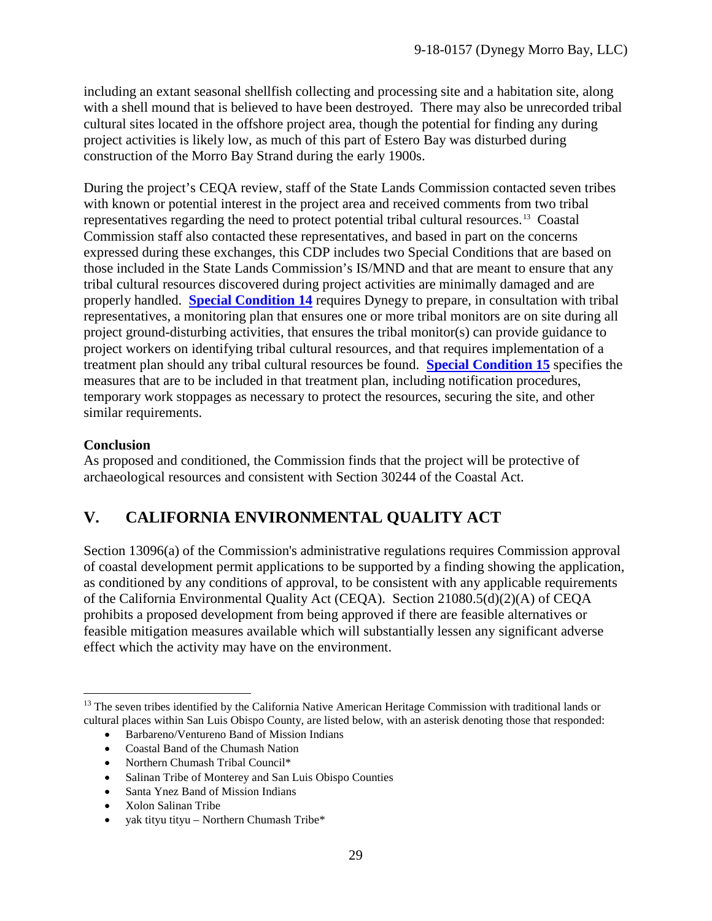including an extant seasonal shellfish collecting and processing site and a habitation site, along with a shell mound that is believed to have been destroyed. There may also be unrecorded tribal cultural sites located in the offshore project area, though the potential for finding any during project activities is likely low, as much of this part of Estero Bay was disturbed during construction of the Morro Bay Strand during the early 1900s.

During the project's CEQA review, staff of the State Lands Commission contacted seven tribes with known or potential interest in the project area and received comments from two tribal representatives regarding the need to protect potential tribal cultural resources.[13](#page-28-1) Coastal Commission staff also contacted these representatives, and based in part on the concerns expressed during these exchanges, this CDP includes two Special Conditions that are based on those included in the State Lands Commission's IS/MND and that are meant to ensure that any tribal cultural resources discovered during project activities are minimally damaged and are properly handled. **[Special Condition 14](#page-8-0)** requires Dynegy to prepare, in consultation with tribal representatives, a monitoring plan that ensures one or more tribal monitors are on site during all project ground-disturbing activities, that ensures the tribal monitor(s) can provide guidance to project workers on identifying tribal cultural resources, and that requires implementation of a treatment plan should any tribal cultural resources be found. **[Special Condition 15](#page-8-1)** specifies the measures that are to be included in that treatment plan, including notification procedures, temporary work stoppages as necessary to protect the resources, securing the site, and other similar requirements.

## **Conclusion**

As proposed and conditioned, the Commission finds that the project will be protective of archaeological resources and consistent with Section 30244 of the Coastal Act.

# <span id="page-28-0"></span>**V. CALIFORNIA ENVIRONMENTAL QUALITY ACT**

Section 13096(a) of the Commission's administrative regulations requires Commission approval of coastal development permit applications to be supported by a finding showing the application, as conditioned by any conditions of approval, to be consistent with any applicable requirements of the California Environmental Quality Act (CEQA). Section 21080.5(d)(2)(A) of CEQA prohibits a proposed development from being approved if there are feasible alternatives or feasible mitigation measures available which will substantially lessen any significant adverse effect which the activity may have on the environment.

- Coastal Band of the Chumash Nation
- Northern Chumash Tribal Council\*
- Salinan Tribe of Monterey and San Luis Obispo Counties
- Santa Ynez Band of Mission Indians
- Xolon Salinan Tribe
- yak tityu tityu Northern Chumash Tribe\*

<span id="page-28-1"></span> $\overline{a}$ <sup>13</sup> The seven tribes identified by the California Native American Heritage Commission with traditional lands or cultural places within San Luis Obispo County, are listed below, with an asterisk denoting those that responded:

<sup>•</sup> Barbareno/Ventureno Band of Mission Indians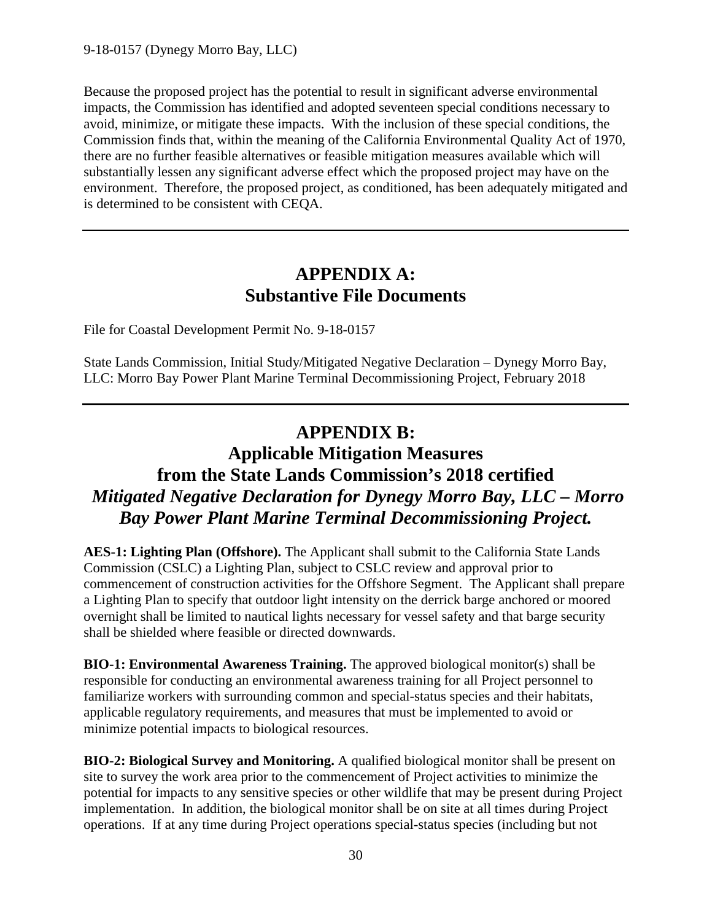Because the proposed project has the potential to result in significant adverse environmental impacts, the Commission has identified and adopted seventeen special conditions necessary to avoid, minimize, or mitigate these impacts. With the inclusion of these special conditions, the Commission finds that, within the meaning of the California Environmental Quality Act of 1970, there are no further feasible alternatives or feasible mitigation measures available which will substantially lessen any significant adverse effect which the proposed project may have on the environment. Therefore, the proposed project, as conditioned, has been adequately mitigated and is determined to be consistent with CEQA.

# **APPENDIX A: Substantive File Documents**

File for Coastal Development Permit No. 9-18-0157

State Lands Commission, Initial Study/Mitigated Negative Declaration – Dynegy Morro Bay, LLC: Morro Bay Power Plant Marine Terminal Decommissioning Project, February 2018

# **APPENDIX B:**

# **Applicable Mitigation Measures from the State Lands Commission's 2018 certified** *Mitigated Negative Declaration for Dynegy Morro Bay, LLC – Morro Bay Power Plant Marine Terminal Decommissioning Project.*

<span id="page-29-1"></span>**AES-1: Lighting Plan (Offshore).** The Applicant shall submit to the California State Lands Commission (CSLC) a Lighting Plan, subject to CSLC review and approval prior to commencement of construction activities for the Offshore Segment. The Applicant shall prepare a Lighting Plan to specify that outdoor light intensity on the derrick barge anchored or moored overnight shall be limited to nautical lights necessary for vessel safety and that barge security shall be shielded where feasible or directed downwards.

<span id="page-29-0"></span>**BIO-1: Environmental Awareness Training.** The approved biological monitor(s) shall be responsible for conducting an environmental awareness training for all Project personnel to familiarize workers with surrounding common and special-status species and their habitats, applicable regulatory requirements, and measures that must be implemented to avoid or minimize potential impacts to biological resources.

<span id="page-29-2"></span>**BIO-2: Biological Survey and Monitoring.** A qualified biological monitor shall be present on site to survey the work area prior to the commencement of Project activities to minimize the potential for impacts to any sensitive species or other wildlife that may be present during Project implementation. In addition, the biological monitor shall be on site at all times during Project operations. If at any time during Project operations special-status species (including but not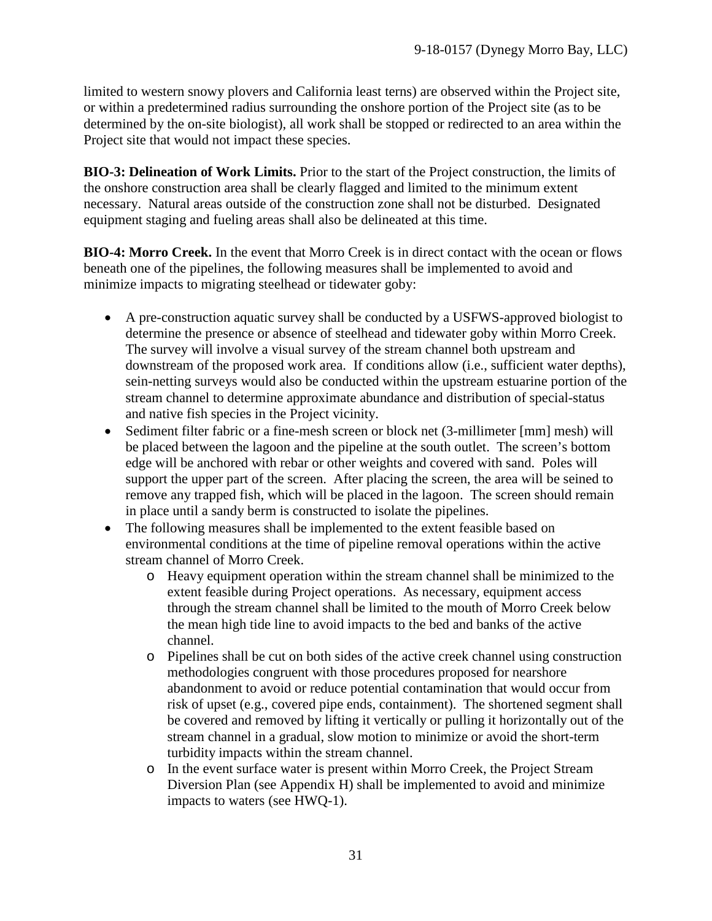limited to western snowy plovers and California least terns) are observed within the Project site, or within a predetermined radius surrounding the onshore portion of the Project site (as to be determined by the on-site biologist), all work shall be stopped or redirected to an area within the Project site that would not impact these species.

<span id="page-30-0"></span>**BIO-3: Delineation of Work Limits.** Prior to the start of the Project construction, the limits of the onshore construction area shall be clearly flagged and limited to the minimum extent necessary. Natural areas outside of the construction zone shall not be disturbed. Designated equipment staging and fueling areas shall also be delineated at this time.

<span id="page-30-1"></span>**BIO-4: Morro Creek.** In the event that Morro Creek is in direct contact with the ocean or flows beneath one of the pipelines, the following measures shall be implemented to avoid and minimize impacts to migrating steelhead or tidewater goby:

- A pre-construction aquatic survey shall be conducted by a USFWS-approved biologist to determine the presence or absence of steelhead and tidewater goby within Morro Creek. The survey will involve a visual survey of the stream channel both upstream and downstream of the proposed work area. If conditions allow (i.e., sufficient water depths), sein-netting surveys would also be conducted within the upstream estuarine portion of the stream channel to determine approximate abundance and distribution of special-status and native fish species in the Project vicinity.
- Sediment filter fabric or a fine-mesh screen or block net (3-millimeter [mm] mesh) will be placed between the lagoon and the pipeline at the south outlet. The screen's bottom edge will be anchored with rebar or other weights and covered with sand. Poles will support the upper part of the screen. After placing the screen, the area will be seined to remove any trapped fish, which will be placed in the lagoon. The screen should remain in place until a sandy berm is constructed to isolate the pipelines.
- The following measures shall be implemented to the extent feasible based on environmental conditions at the time of pipeline removal operations within the active stream channel of Morro Creek.
	- o Heavy equipment operation within the stream channel shall be minimized to the extent feasible during Project operations. As necessary, equipment access through the stream channel shall be limited to the mouth of Morro Creek below the mean high tide line to avoid impacts to the bed and banks of the active channel.
	- o Pipelines shall be cut on both sides of the active creek channel using construction methodologies congruent with those procedures proposed for nearshore abandonment to avoid or reduce potential contamination that would occur from risk of upset (e.g., covered pipe ends, containment). The shortened segment shall be covered and removed by lifting it vertically or pulling it horizontally out of the stream channel in a gradual, slow motion to minimize or avoid the short-term turbidity impacts within the stream channel.
	- o In the event surface water is present within Morro Creek, the Project Stream Diversion Plan (see Appendix H) shall be implemented to avoid and minimize impacts to waters (see HWQ-1).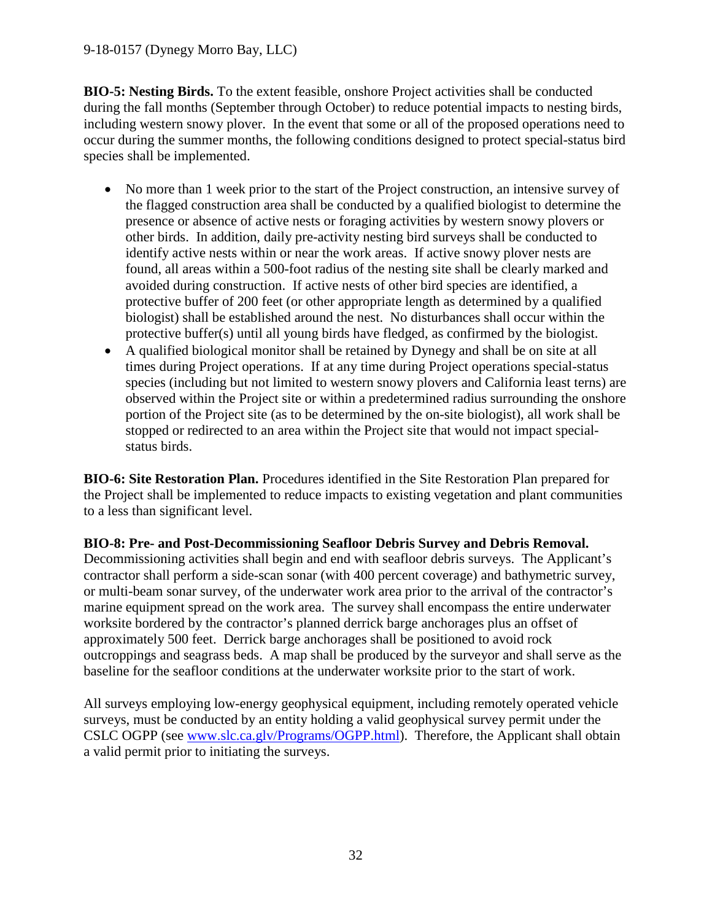<span id="page-31-1"></span>**BIO-5: Nesting Birds.** To the extent feasible, onshore Project activities shall be conducted during the fall months (September through October) to reduce potential impacts to nesting birds, including western snowy plover. In the event that some or all of the proposed operations need to occur during the summer months, the following conditions designed to protect special-status bird species shall be implemented.

- No more than 1 week prior to the start of the Project construction, an intensive survey of the flagged construction area shall be conducted by a qualified biologist to determine the presence or absence of active nests or foraging activities by western snowy plovers or other birds. In addition, daily pre-activity nesting bird surveys shall be conducted to identify active nests within or near the work areas. If active snowy plover nests are found, all areas within a 500-foot radius of the nesting site shall be clearly marked and avoided during construction. If active nests of other bird species are identified, a protective buffer of 200 feet (or other appropriate length as determined by a qualified biologist) shall be established around the nest. No disturbances shall occur within the protective buffer(s) until all young birds have fledged, as confirmed by the biologist.
- A qualified biological monitor shall be retained by Dynegy and shall be on site at all times during Project operations. If at any time during Project operations special-status species (including but not limited to western snowy plovers and California least terns) are observed within the Project site or within a predetermined radius surrounding the onshore portion of the Project site (as to be determined by the on-site biologist), all work shall be stopped or redirected to an area within the Project site that would not impact specialstatus birds.

**BIO-6: Site Restoration Plan.** Procedures identified in the Site Restoration Plan prepared for the Project shall be implemented to reduce impacts to existing vegetation and plant communities to a less than significant level.

<span id="page-31-0"></span>**BIO-8: Pre- and Post-Decommissioning Seafloor Debris Survey and Debris Removal.** Decommissioning activities shall begin and end with seafloor debris surveys. The Applicant's contractor shall perform a side-scan sonar (with 400 percent coverage) and bathymetric survey, or multi-beam sonar survey, of the underwater work area prior to the arrival of the contractor's marine equipment spread on the work area. The survey shall encompass the entire underwater worksite bordered by the contractor's planned derrick barge anchorages plus an offset of approximately 500 feet. Derrick barge anchorages shall be positioned to avoid rock outcroppings and seagrass beds. A map shall be produced by the surveyor and shall serve as the baseline for the seafloor conditions at the underwater worksite prior to the start of work.

All surveys employing low-energy geophysical equipment, including remotely operated vehicle surveys, must be conducted by an entity holding a valid geophysical survey permit under the CSLC OGPP (see [www.slc.ca.glv/Programs/OGPP.html\)](http://www.slc.ca.glv/Programs/OGPP.html). Therefore, the Applicant shall obtain a valid permit prior to initiating the surveys.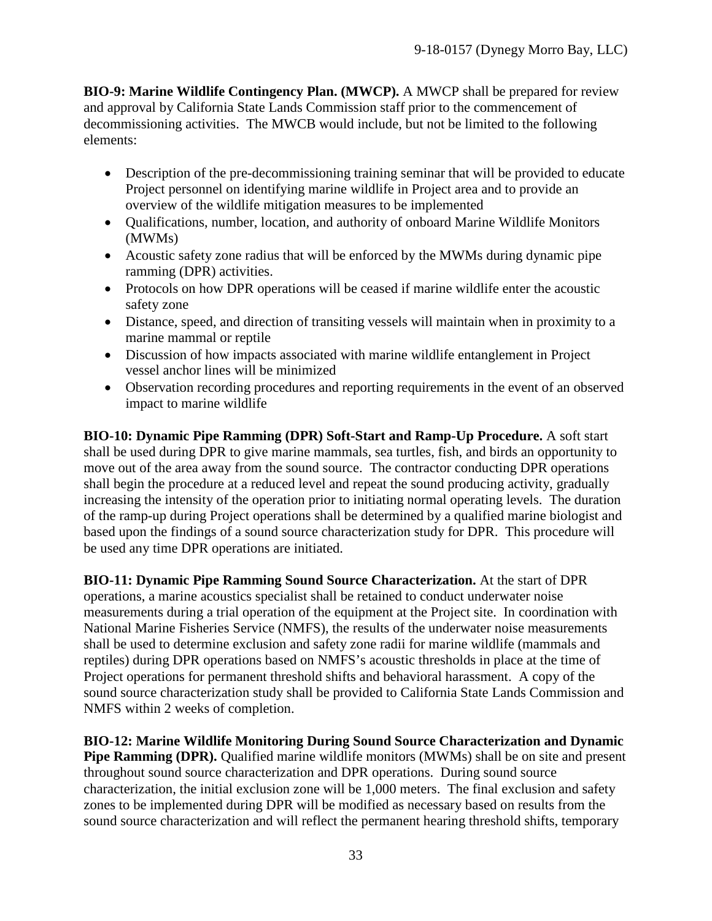**BIO-9: Marine Wildlife Contingency Plan. (MWCP).** A MWCP shall be prepared for review and approval by California State Lands Commission staff prior to the commencement of decommissioning activities. The MWCB would include, but not be limited to the following elements:

- Description of the pre-decommissioning training seminar that will be provided to educate Project personnel on identifying marine wildlife in Project area and to provide an overview of the wildlife mitigation measures to be implemented
- Qualifications, number, location, and authority of onboard Marine Wildlife Monitors (MWMs)
- Acoustic safety zone radius that will be enforced by the MWMs during dynamic pipe ramming (DPR) activities.
- Protocols on how DPR operations will be ceased if marine wildlife enter the acoustic safety zone
- Distance, speed, and direction of transiting vessels will maintain when in proximity to a marine mammal or reptile
- Discussion of how impacts associated with marine wildlife entanglement in Project vessel anchor lines will be minimized
- Observation recording procedures and reporting requirements in the event of an observed impact to marine wildlife

<span id="page-32-0"></span>**BIO-10: Dynamic Pipe Ramming (DPR) Soft-Start and Ramp-Up Procedure.** A soft start shall be used during DPR to give marine mammals, sea turtles, fish, and birds an opportunity to move out of the area away from the sound source. The contractor conducting DPR operations shall begin the procedure at a reduced level and repeat the sound producing activity, gradually increasing the intensity of the operation prior to initiating normal operating levels. The duration of the ramp-up during Project operations shall be determined by a qualified marine biologist and based upon the findings of a sound source characterization study for DPR. This procedure will be used any time DPR operations are initiated.

<span id="page-32-2"></span>**BIO-11: Dynamic Pipe Ramming Sound Source Characterization.** At the start of DPR operations, a marine acoustics specialist shall be retained to conduct underwater noise measurements during a trial operation of the equipment at the Project site. In coordination with National Marine Fisheries Service (NMFS), the results of the underwater noise measurements shall be used to determine exclusion and safety zone radii for marine wildlife (mammals and reptiles) during DPR operations based on NMFS's acoustic thresholds in place at the time of Project operations for permanent threshold shifts and behavioral harassment. A copy of the sound source characterization study shall be provided to California State Lands Commission and NMFS within 2 weeks of completion.

<span id="page-32-1"></span>**BIO-12: Marine Wildlife Monitoring During Sound Source Characterization and Dynamic Pipe Ramming (DPR).** Qualified marine wildlife monitors (MWMs) shall be on site and present throughout sound source characterization and DPR operations. During sound source characterization, the initial exclusion zone will be 1,000 meters. The final exclusion and safety zones to be implemented during DPR will be modified as necessary based on results from the sound source characterization and will reflect the permanent hearing threshold shifts, temporary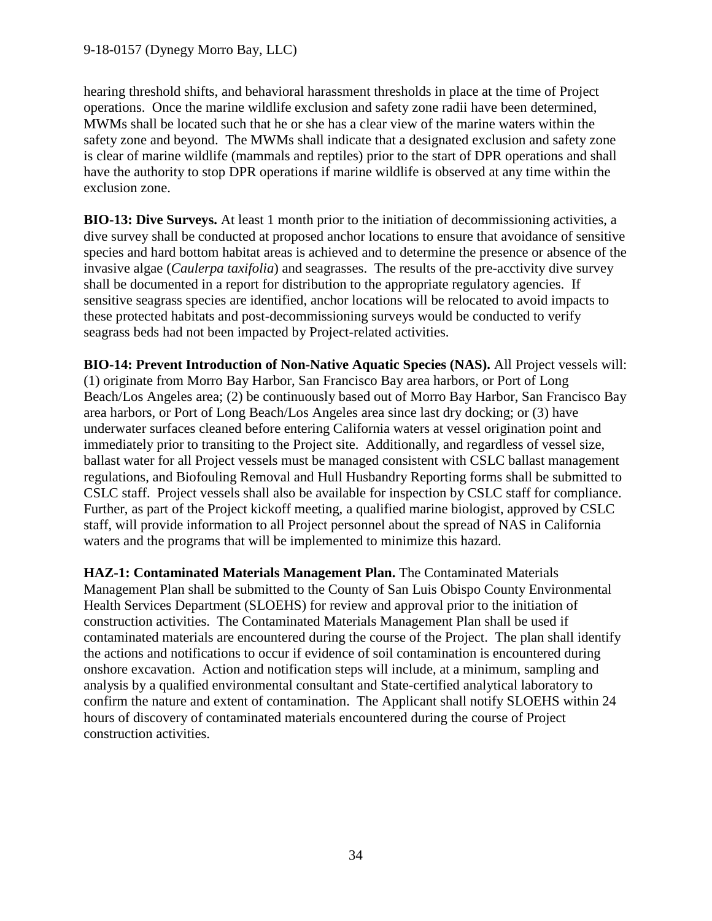hearing threshold shifts, and behavioral harassment thresholds in place at the time of Project operations. Once the marine wildlife exclusion and safety zone radii have been determined, MWMs shall be located such that he or she has a clear view of the marine waters within the safety zone and beyond. The MWMs shall indicate that a designated exclusion and safety zone is clear of marine wildlife (mammals and reptiles) prior to the start of DPR operations and shall have the authority to stop DPR operations if marine wildlife is observed at any time within the exclusion zone.

<span id="page-33-1"></span>**BIO-13: Dive Surveys.** At least 1 month prior to the initiation of decommissioning activities, a dive survey shall be conducted at proposed anchor locations to ensure that avoidance of sensitive species and hard bottom habitat areas is achieved and to determine the presence or absence of the invasive algae (*Caulerpa taxifolia*) and seagrasses. The results of the pre-acctivity dive survey shall be documented in a report for distribution to the appropriate regulatory agencies. If sensitive seagrass species are identified, anchor locations will be relocated to avoid impacts to these protected habitats and post-decommissioning surveys would be conducted to verify seagrass beds had not been impacted by Project-related activities.

<span id="page-33-2"></span>**BIO-14: Prevent Introduction of Non-Native Aquatic Species (NAS).** All Project vessels will: (1) originate from Morro Bay Harbor, San Francisco Bay area harbors, or Port of Long Beach/Los Angeles area; (2) be continuously based out of Morro Bay Harbor, San Francisco Bay area harbors, or Port of Long Beach/Los Angeles area since last dry docking; or (3) have underwater surfaces cleaned before entering California waters at vessel origination point and immediately prior to transiting to the Project site. Additionally, and regardless of vessel size, ballast water for all Project vessels must be managed consistent with CSLC ballast management regulations, and Biofouling Removal and Hull Husbandry Reporting forms shall be submitted to CSLC staff. Project vessels shall also be available for inspection by CSLC staff for compliance. Further, as part of the Project kickoff meeting, a qualified marine biologist, approved by CSLC staff, will provide information to all Project personnel about the spread of NAS in California waters and the programs that will be implemented to minimize this hazard.

<span id="page-33-0"></span>**HAZ-1: Contaminated Materials Management Plan.** The Contaminated Materials Management Plan shall be submitted to the County of San Luis Obispo County Environmental Health Services Department (SLOEHS) for review and approval prior to the initiation of construction activities. The Contaminated Materials Management Plan shall be used if contaminated materials are encountered during the course of the Project. The plan shall identify the actions and notifications to occur if evidence of soil contamination is encountered during onshore excavation. Action and notification steps will include, at a minimum, sampling and analysis by a qualified environmental consultant and State-certified analytical laboratory to confirm the nature and extent of contamination. The Applicant shall notify SLOEHS within 24 hours of discovery of contaminated materials encountered during the course of Project construction activities.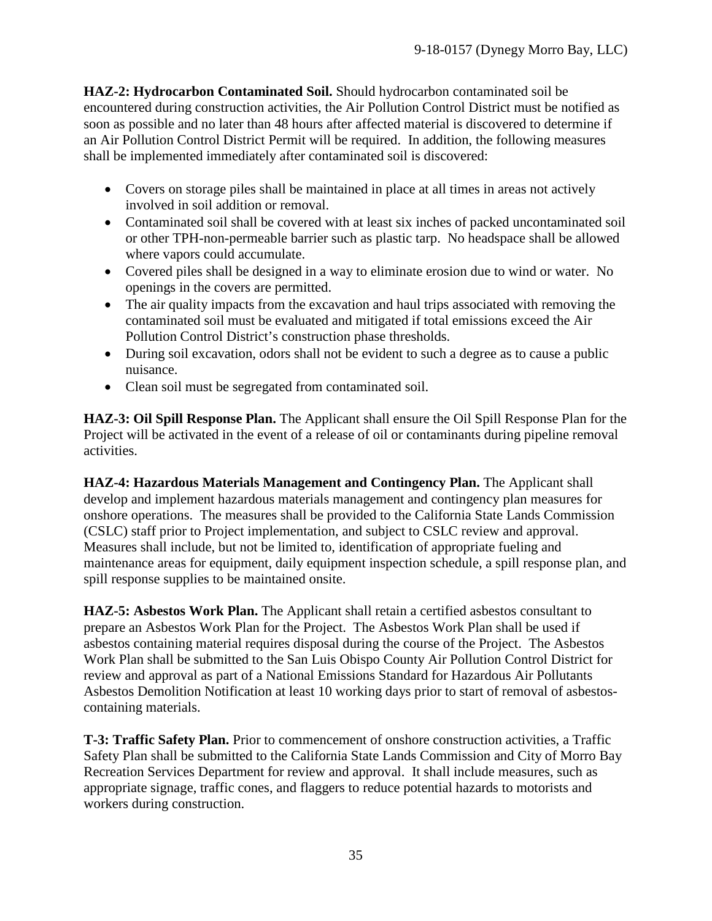<span id="page-34-0"></span>**HAZ-2: Hydrocarbon Contaminated Soil.** Should hydrocarbon contaminated soil be encountered during construction activities, the Air Pollution Control District must be notified as soon as possible and no later than 48 hours after affected material is discovered to determine if an Air Pollution Control District Permit will be required. In addition, the following measures shall be implemented immediately after contaminated soil is discovered:

- Covers on storage piles shall be maintained in place at all times in areas not actively involved in soil addition or removal.
- Contaminated soil shall be covered with at least six inches of packed uncontaminated soil or other TPH-non-permeable barrier such as plastic tarp. No headspace shall be allowed where vapors could accumulate.
- Covered piles shall be designed in a way to eliminate erosion due to wind or water. No openings in the covers are permitted.
- The air quality impacts from the excavation and haul trips associated with removing the contaminated soil must be evaluated and mitigated if total emissions exceed the Air Pollution Control District's construction phase thresholds.
- During soil excavation, odors shall not be evident to such a degree as to cause a public nuisance.
- Clean soil must be segregated from contaminated soil.

<span id="page-34-3"></span>**HAZ-3: Oil Spill Response Plan.** The Applicant shall ensure the Oil Spill Response Plan for the Project will be activated in the event of a release of oil or contaminants during pipeline removal activities.

<span id="page-34-1"></span>**HAZ-4: Hazardous Materials Management and Contingency Plan.** The Applicant shall develop and implement hazardous materials management and contingency plan measures for onshore operations. The measures shall be provided to the California State Lands Commission (CSLC) staff prior to Project implementation, and subject to CSLC review and approval. Measures shall include, but not be limited to, identification of appropriate fueling and maintenance areas for equipment, daily equipment inspection schedule, a spill response plan, and spill response supplies to be maintained onsite.

<span id="page-34-2"></span>**HAZ-5: Asbestos Work Plan.** The Applicant shall retain a certified asbestos consultant to prepare an Asbestos Work Plan for the Project. The Asbestos Work Plan shall be used if asbestos containing material requires disposal during the course of the Project. The Asbestos Work Plan shall be submitted to the San Luis Obispo County Air Pollution Control District for review and approval as part of a National Emissions Standard for Hazardous Air Pollutants Asbestos Demolition Notification at least 10 working days prior to start of removal of asbestoscontaining materials.

<span id="page-34-4"></span>**T-3: Traffic Safety Plan.** Prior to commencement of onshore construction activities, a Traffic Safety Plan shall be submitted to the California State Lands Commission and City of Morro Bay Recreation Services Department for review and approval. It shall include measures, such as appropriate signage, traffic cones, and flaggers to reduce potential hazards to motorists and workers during construction.